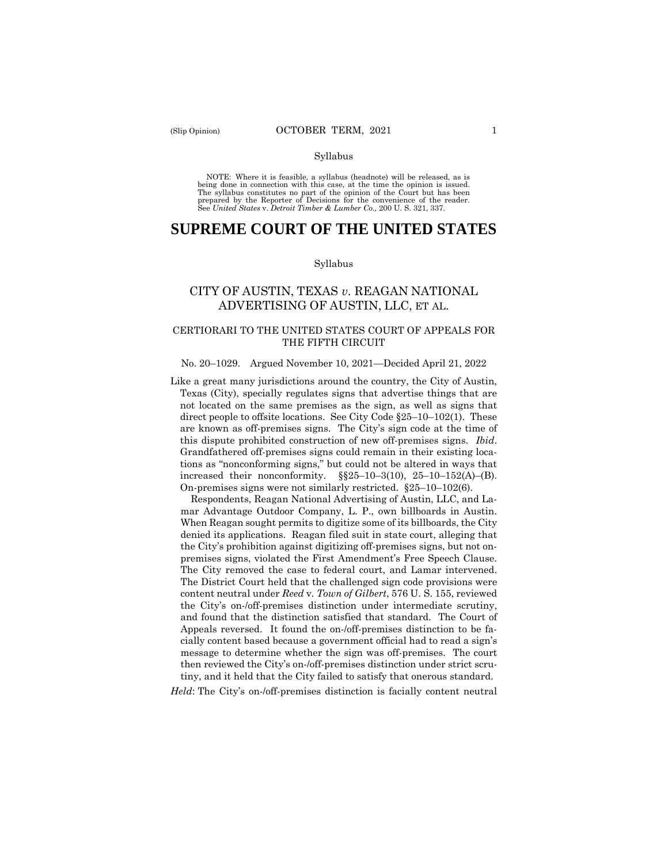#### Syllabus

 NOTE: Where it is feasible, a syllabus (headnote) will be released, as is being done in connection with this case, at the time the opinion is issued. The syllabus constitutes no part of the opinion of the Court but has been<br>prepared by the Reporter of Decisions for the convenience of the reader.<br>See United States v. Detroit Timber & Lumber Co., 200 U.S. 321, 337.

# **SUPREME COURT OF THE UNITED STATES**

#### Syllabus

# CITY OF AUSTIN, TEXAS *v*. REAGAN NATIONAL ADVERTISING OF AUSTIN, LLC, ET AL.

### CERTIORARI TO THE UNITED STATES COURT OF APPEALS FOR THE FIFTH CIRCUIT

#### No. 20–1029. Argued November 10, 2021—Decided April 21, 2022

Like a great many jurisdictions around the country, the City of Austin, Texas (City), specially regulates signs that advertise things that are not located on the same premises as the sign, as well as signs that direct people to offsite locations. See City Code §25–10–102(1). These are known as off-premises signs. The City's sign code at the time of this dispute prohibited construction of new off-premises signs. *Ibid*. Grandfathered off-premises signs could remain in their existing locations as "nonconforming signs," but could not be altered in ways that increased their nonconformity.  $\S$  $25-10-3(10)$ ,  $25-10-152(A)$ –(B). On-premises signs were not similarly restricted. §25–10–102(6).

Respondents, Reagan National Advertising of Austin, LLC, and Lamar Advantage Outdoor Company, L. P., own billboards in Austin. When Reagan sought permits to digitize some of its billboards, the City denied its applications. Reagan filed suit in state court, alleging that the City's prohibition against digitizing off-premises signs, but not onpremises signs, violated the First Amendment's Free Speech Clause. The City removed the case to federal court, and Lamar intervened. The District Court held that the challenged sign code provisions were content neutral under *Reed* v*. Town of Gilbert*, 576 U. S. 155, reviewed the City's on-/off-premises distinction under intermediate scrutiny, and found that the distinction satisfied that standard. The Court of Appeals reversed. It found the on-/off-premises distinction to be facially content based because a government official had to read a sign's message to determine whether the sign was off-premises. The court then reviewed the City's on-/off-premises distinction under strict scrutiny, and it held that the City failed to satisfy that onerous standard.

*Held*: The City's on-/off-premises distinction is facially content neutral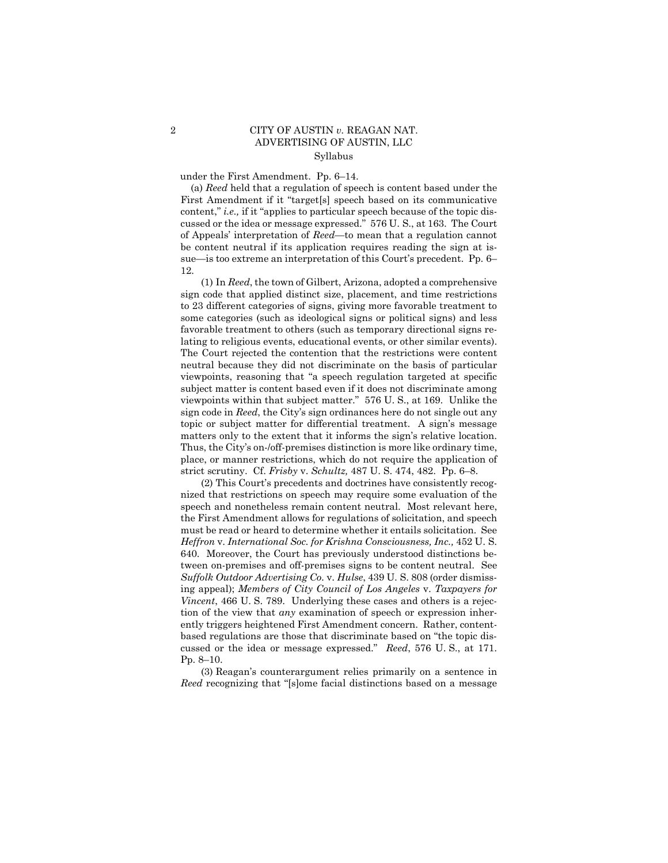## 2 CITY OF AUSTIN *v.* REAGAN NAT. ADVERTISING OF AUSTIN, LLC Syllabus

under the First Amendment. Pp. 6–14.

(a) *Reed* held that a regulation of speech is content based under the First Amendment if it "target[s] speech based on its communicative content," *i.e.*, if it "applies to particular speech because of the topic discussed or the idea or message expressed." 576 U. S., at 163. The Court of Appeals' interpretation of *Reed*—to mean that a regulation cannot be content neutral if its application requires reading the sign at issue—is too extreme an interpretation of this Court's precedent. Pp. 6– 12.

 matters only to the extent that it informs the sign's relative location. (1) In *Reed*, the town of Gilbert, Arizona, adopted a comprehensive sign code that applied distinct size, placement, and time restrictions to 23 different categories of signs, giving more favorable treatment to some categories (such as ideological signs or political signs) and less favorable treatment to others (such as temporary directional signs relating to religious events, educational events, or other similar events). The Court rejected the contention that the restrictions were content neutral because they did not discriminate on the basis of particular viewpoints, reasoning that "a speech regulation targeted at specific subject matter is content based even if it does not discriminate among viewpoints within that subject matter." 576 U. S., at 169. Unlike the sign code in *Reed*, the City's sign ordinances here do not single out any topic or subject matter for differential treatment. A sign's message Thus, the City's on-/off-premises distinction is more like ordinary time, place, or manner restrictions, which do not require the application of strict scrutiny. Cf. *Frisby* v. *Schultz,* 487 U. S. 474, 482. Pp. 6–8.

(2) This Court's precedents and doctrines have consistently recognized that restrictions on speech may require some evaluation of the speech and nonetheless remain content neutral. Most relevant here, the First Amendment allows for regulations of solicitation, and speech must be read or heard to determine whether it entails solicitation. See *Heffron* v. *International Soc. for Krishna Consciousness, Inc.,* 452 U. S. 640. Moreover, the Court has previously understood distinctions between on-premises and off-premises signs to be content neutral. See *Suffolk Outdoor Advertising Co.* v. *Hulse*, 439 U. S. 808 (order dismissing appeal); *Members of City Council of Los Angeles* v. *Taxpayers for Vincent*, 466 U.S. 789. Underlying these cases and others is a rejection of the view that *any* examination of speech or expression inherently triggers heightened First Amendment concern. Rather, contentbased regulations are those that discriminate based on "the topic discussed or the idea or message expressed." *Reed*, 576 U. S., at 171. Pp. 8–10.

(3) Reagan's counterargument relies primarily on a sentence in *Reed* recognizing that "[s]ome facial distinctions based on a message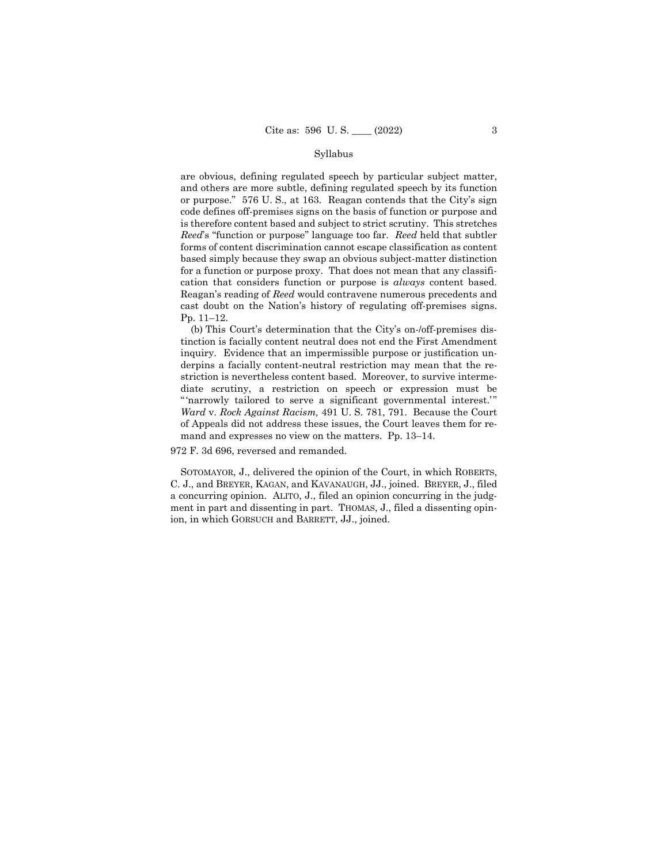#### Syllabus

are obvious, defining regulated speech by particular subject matter, and others are more subtle, defining regulated speech by its function or purpose." 576 U. S., at 163. Reagan contends that the City's sign code defines off-premises signs on the basis of function or purpose and is therefore content based and subject to strict scrutiny. This stretches *Reed*'s "function or purpose" language too far. *Reed* held that subtler forms of content discrimination cannot escape classification as content based simply because they swap an obvious subject-matter distinction for a function or purpose proxy. That does not mean that any classification that considers function or purpose is *always* content based. Reagan's reading of *Reed* would contravene numerous precedents and cast doubt on the Nation's history of regulating off-premises signs. Pp. 11–12.

(b) This Court's determination that the City's on-/off-premises distinction is facially content neutral does not end the First Amendment inquiry. Evidence that an impermissible purpose or justification underpins a facially content-neutral restriction may mean that the restriction is nevertheless content based. Moreover, to survive intermediate scrutiny, a restriction on speech or expression must be " 'narrowly tailored to serve a significant governmental interest." *Ward* v. *Rock Against Racism,* 491 U. S. 781, 791. Because the Court of Appeals did not address these issues, the Court leaves them for remand and expresses no view on the matters. Pp. 13–14.

972 F. 3d 696, reversed and remanded.

SOTOMAYOR, J., delivered the opinion of the Court, in which ROBERTS, C. J., and BREYER, KAGAN, and KAVANAUGH, JJ., joined. BREYER, J., filed a concurring opinion. ALITO, J., filed an opinion concurring in the judgment in part and dissenting in part. THOMAS, J., filed a dissenting opinion, in which GORSUCH and BARRETT, JJ., joined.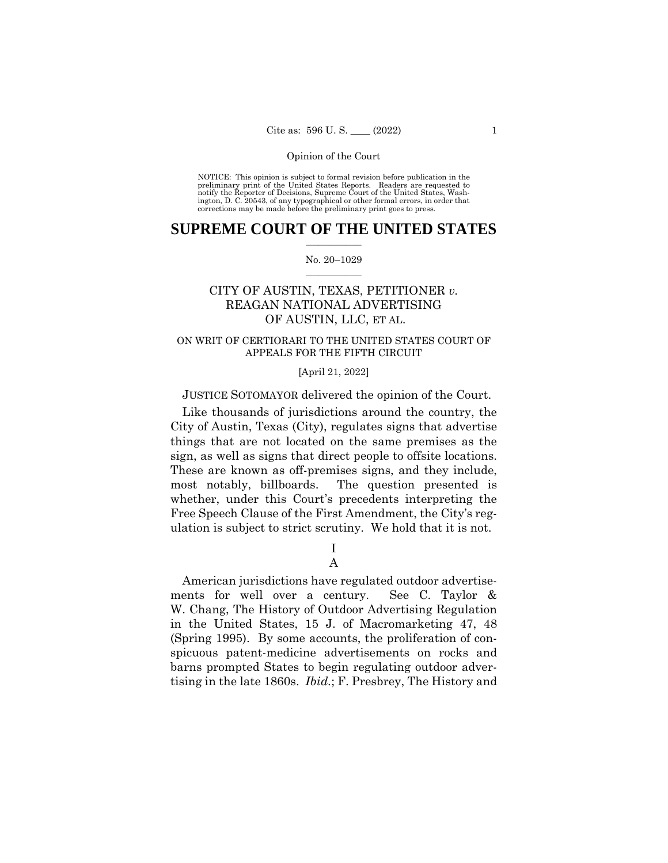#### Opinion of the Court

 NOTICE: This opinion is subject to formal revision before publication in the preliminary print of the United States Reports. Readers are requested to notify the Reporter of Decisions, Supreme Court of the United States, Wash-ington, D. C. 20543, of any typographical or other formal errors, in order that corrections may be made before the preliminary print goes to press.

### $\frac{1}{2}$  ,  $\frac{1}{2}$  ,  $\frac{1}{2}$  ,  $\frac{1}{2}$  ,  $\frac{1}{2}$  ,  $\frac{1}{2}$  ,  $\frac{1}{2}$ **SUPREME COURT OF THE UNITED STATES**

#### $\frac{1}{2}$  ,  $\frac{1}{2}$  ,  $\frac{1}{2}$  ,  $\frac{1}{2}$  ,  $\frac{1}{2}$  ,  $\frac{1}{2}$ No. 20–1029

# CITY OF AUSTIN, TEXAS, PETITIONER *v.*  REAGAN NATIONAL ADVERTISING OF AUSTIN, LLC, ET AL.

## ON WRIT OF CERTIORARI TO THE UNITED STATES COURT OF APPEALS FOR THE FIFTH CIRCUIT

### [April 21, 2022]

## JUSTICE SOTOMAYOR delivered the opinion of the Court.

Like thousands of jurisdictions around the country, the City of Austin, Texas (City), regulates signs that advertise things that are not located on the same premises as the sign, as well as signs that direct people to offsite locations. These are known as off-premises signs, and they include, most notably, billboards. The question presented is whether, under this Court's precedents interpreting the Free Speech Clause of the First Amendment, the City's regulation is subject to strict scrutiny. We hold that it is not.

## I A

American jurisdictions have regulated outdoor advertisements for well over a century. See C. Taylor & W. Chang, The History of Outdoor Advertising Regulation in the United States, 15 J. of Macromarketing 47, 48 (Spring 1995). By some accounts, the proliferation of conspicuous patent-medicine advertisements on rocks and barns prompted States to begin regulating outdoor advertising in the late 1860s. *Ibid.*; F. Presbrey, The History and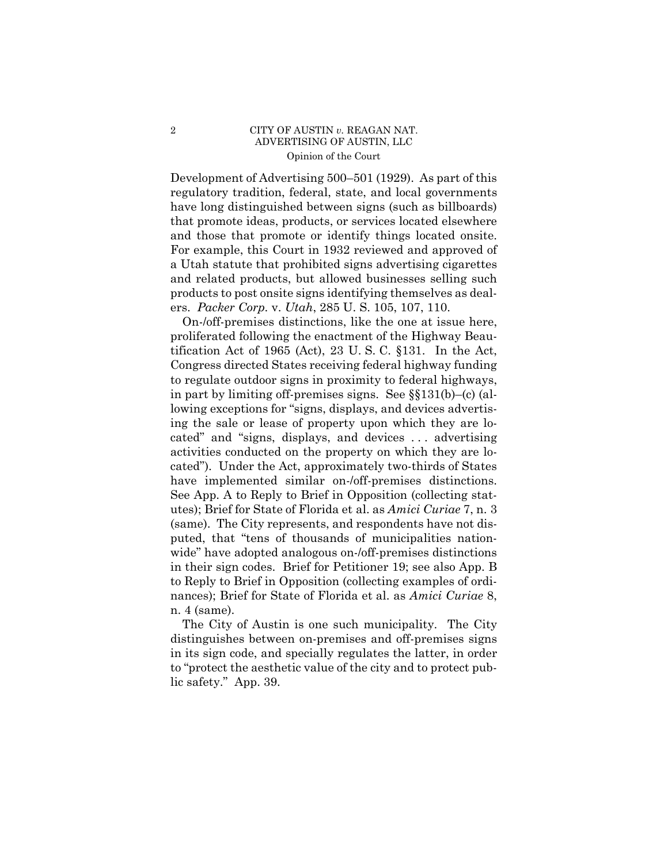## 2 CITY OF AUSTIN *v.* REAGAN NAT. ADVERTISING OF AUSTIN, LLC Opinion of the Court

Development of Advertising 500–501 (1929). As part of this regulatory tradition, federal, state, and local governments have long distinguished between signs (such as billboards) that promote ideas, products, or services located elsewhere and those that promote or identify things located onsite. For example, this Court in 1932 reviewed and approved of a Utah statute that prohibited signs advertising cigarettes and related products, but allowed businesses selling such products to post onsite signs identifying themselves as dealers. *Packer Corp.* v. *Utah*, 285 U. S. 105, 107, 110.

 utes); Brief for State of Florida et al. as *Amici Curiae* 7, n. 3 On-/off-premises distinctions, like the one at issue here, proliferated following the enactment of the Highway Beautification Act of 1965 (Act), 23 U. S. C. §131. In the Act, Congress directed States receiving federal highway funding to regulate outdoor signs in proximity to federal highways, in part by limiting off-premises signs. See §§131(b)–(c) (allowing exceptions for "signs, displays, and devices advertising the sale or lease of property upon which they are located" and "signs, displays, and devices . . . advertising activities conducted on the property on which they are located"). Under the Act, approximately two-thirds of States have implemented similar on-/off-premises distinctions. See App. A to Reply to Brief in Opposition (collecting stat-(same). The City represents, and respondents have not disputed, that "tens of thousands of municipalities nationwide" have adopted analogous on-/off-premises distinctions in their sign codes. Brief for Petitioner 19; see also App. B to Reply to Brief in Opposition (collecting examples of ordinances); Brief for State of Florida et al. as *Amici Curiae* 8, n. 4 (same).

The City of Austin is one such municipality. The City distinguishes between on-premises and off-premises signs in its sign code, and specially regulates the latter, in order to "protect the aesthetic value of the city and to protect public safety." App. 39.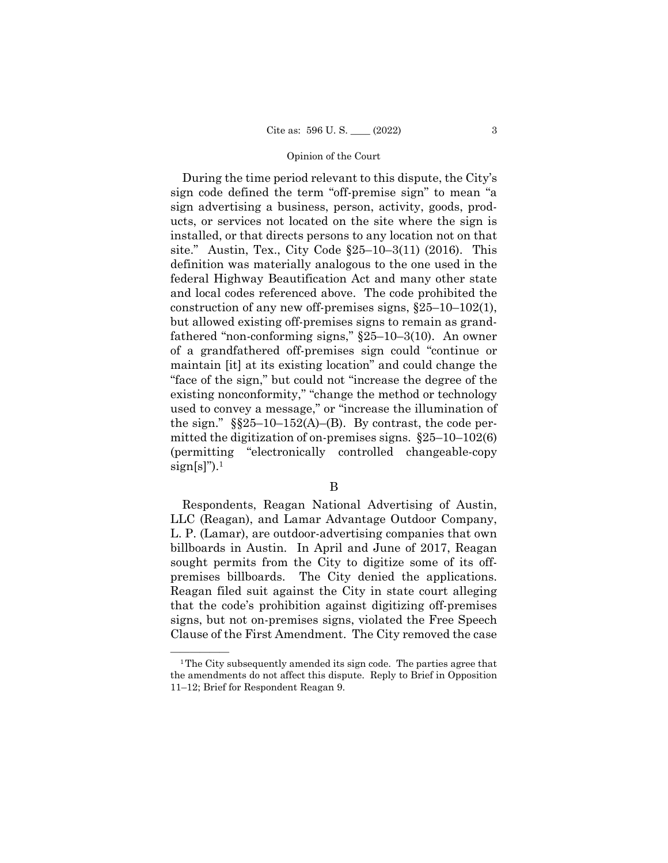#### Opinion of the Court

During the time period relevant to this dispute, the City's sign code defined the term "off-premise sign" to mean "a sign advertising a business, person, activity, goods, products, or services not located on the site where the sign is installed, or that directs persons to any location not on that site." Austin, Tex., City Code §25–10–3(11) (2016). This definition was materially analogous to the one used in the federal Highway Beautification Act and many other state and local codes referenced above. The code prohibited the construction of any new off-premises signs, §25–10–102(1), but allowed existing off-premises signs to remain as grandfathered "non-conforming signs," §25–10–3(10). An owner of a grandfathered off-premises sign could "continue or maintain [it] at its existing location" and could change the "face of the sign," but could not "increase the degree of the existing nonconformity," "change the method or technology used to convey a message," or "increase the illumination of the sign."  $\S$  $\S$ 25–10–152(A)–(B). By contrast, the code permitted the digitization of on-premises signs. §25–10–102(6) (permitting "electronically controlled changeable-copy  $sign[s]^{\prime\prime}$ ).<sup>1</sup>

## B

Respondents, Reagan National Advertising of Austin, LLC (Reagan), and Lamar Advantage Outdoor Company, L. P. (Lamar), are outdoor-advertising companies that own billboards in Austin. In April and June of 2017, Reagan sought permits from the City to digitize some of its offpremises billboards. The City denied the applications. Reagan filed suit against the City in state court alleging that the code's prohibition against digitizing off-premises signs, but not on-premises signs, violated the Free Speech Clause of the First Amendment. The City removed the case

 $1$ <sup>1</sup>The City subsequently amended its sign code. The parties agree that the amendments do not affect this dispute. Reply to Brief in Opposition 11–12; Brief for Respondent Reagan 9.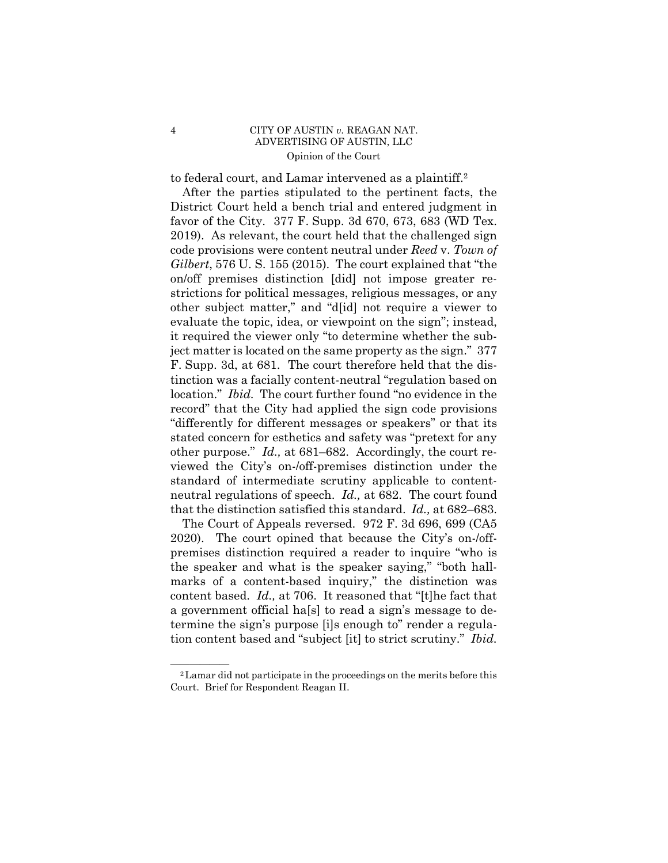### 4 CITY OF AUSTIN *v.* REAGAN NAT. ADVERTISING OF AUSTIN, LLC Opinion of the Court

to federal court, and Lamar intervened as a plaintiff.2

After the parties stipulated to the pertinent facts, the District Court held a bench trial and entered judgment in favor of the City. 377 F. Supp. 3d 670, 673, 683 (WD Tex. 2019). As relevant, the court held that the challenged sign code provisions were content neutral under *Reed* v. *Town of Gilbert*, 576 U. S. 155 (2015). The court explained that "the on/off premises distinction [did] not impose greater restrictions for political messages, religious messages, or any other subject matter," and "d[id] not require a viewer to evaluate the topic, idea, or viewpoint on the sign"; instead, it required the viewer only "to determine whether the subject matter is located on the same property as the sign." 377 F. Supp. 3d, at 681. The court therefore held that the distinction was a facially content-neutral "regulation based on location." *Ibid.* The court further found "no evidence in the record" that the City had applied the sign code provisions "differently for different messages or speakers" or that its stated concern for esthetics and safety was "pretext for any other purpose." *Id.,* at 681–682. Accordingly, the court reviewed the City's on-/off-premises distinction under the standard of intermediate scrutiny applicable to contentneutral regulations of speech. *Id.,* at 682. The court found that the distinction satisfied this standard. *Id.,* at 682–683.

The Court of Appeals reversed. 972 F. 3d 696, 699 (CA5 2020). The court opined that because the City's on-/offpremises distinction required a reader to inquire "who is the speaker and what is the speaker saying," "both hallmarks of a content-based inquiry," the distinction was content based. *Id.,* at 706. It reasoned that "[t]he fact that a government official ha[s] to read a sign's message to determine the sign's purpose [i]s enough to" render a regulation content based and "subject [it] to strict scrutiny." *Ibid.* 

<sup>&</sup>lt;sup>2</sup> Lamar did not participate in the proceedings on the merits before this Court. Brief for Respondent Reagan II.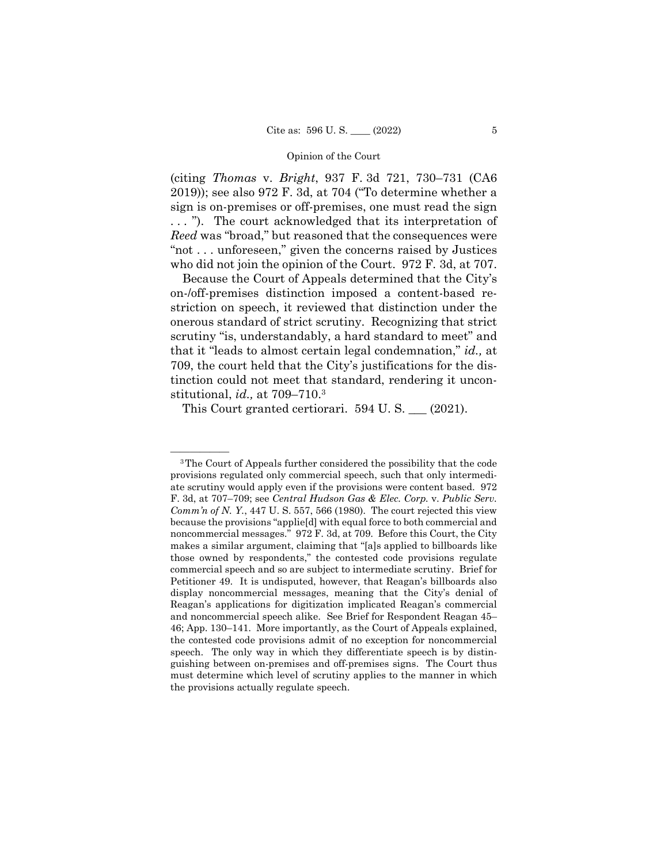#### Opinion of the Court

(citing *Thomas* v. *Bright*, 937 F. 3d 721, 730–731 (CA6 2019)); see also 972 F. 3d, at 704 ("To determine whether a sign is on-premises or off-premises, one must read the sign . . . "). The court acknowledged that its interpretation of *Reed* was "broad," but reasoned that the consequences were "not . . . unforeseen," given the concerns raised by Justices who did not join the opinion of the Court. 972 F. 3d, at 707.

Because the Court of Appeals determined that the City's on-/off-premises distinction imposed a content-based restriction on speech, it reviewed that distinction under the onerous standard of strict scrutiny. Recognizing that strict scrutiny "is, understandably, a hard standard to meet" and that it "leads to almost certain legal condemnation," *id.,* at 709, the court held that the City's justifications for the distinction could not meet that standard, rendering it unconstitutional, *id.,* at 709–710.3

This Court granted certiorari. 594 U.S. (2021).

<sup>&</sup>lt;sup>3</sup>The Court of Appeals further considered the possibility that the code provisions regulated only commercial speech, such that only intermediate scrutiny would apply even if the provisions were content based. 972 F. 3d, at 707–709; see *Central Hudson Gas & Elec. Corp.* v. *Public Serv. Comm'n of N. Y.*, 447 U. S. 557, 566 (1980). The court rejected this view because the provisions "applie[d] with equal force to both commercial and noncommercial messages." 972 F. 3d, at 709. Before this Court, the City makes a similar argument, claiming that "[a]s applied to billboards like those owned by respondents," the contested code provisions regulate commercial speech and so are subject to intermediate scrutiny. Brief for Petitioner 49. It is undisputed, however, that Reagan's billboards also display noncommercial messages, meaning that the City's denial of Reagan's applications for digitization implicated Reagan's commercial and noncommercial speech alike. See Brief for Respondent Reagan 45– 46; App. 130–141. More importantly, as the Court of Appeals explained, the contested code provisions admit of no exception for noncommercial speech. The only way in which they differentiate speech is by distinguishing between on-premises and off-premises signs. The Court thus must determine which level of scrutiny applies to the manner in which the provisions actually regulate speech.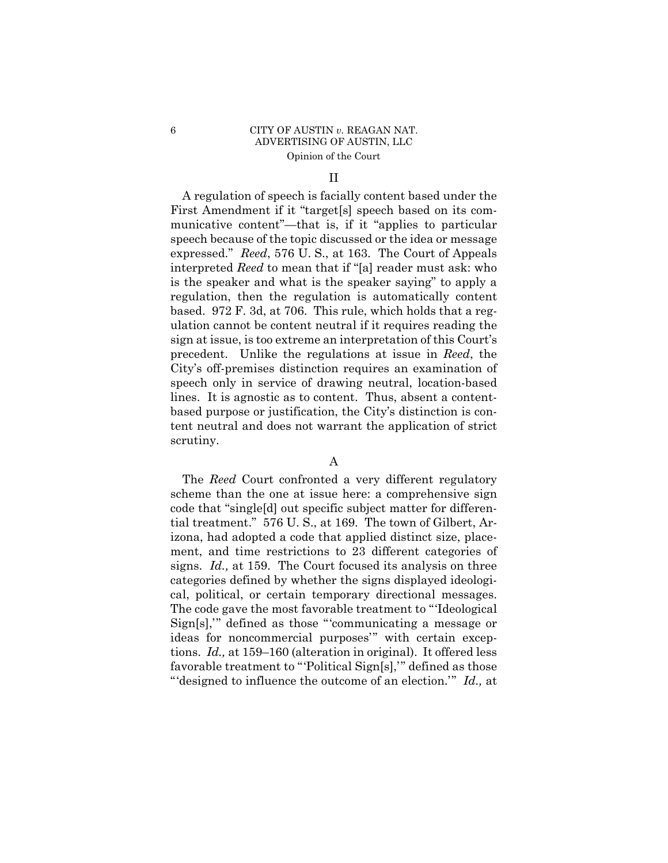## 6 CITY OF AUSTIN *v.* REAGAN NAT. ADVERTISING OF AUSTIN, LLC Opinion of the Court

### II

A regulation of speech is facially content based under the First Amendment if it "target[s] speech based on its communicative content"—that is, if it "applies to particular speech because of the topic discussed or the idea or message expressed." *Reed*, 576 U. S., at 163. The Court of Appeals interpreted *Reed* to mean that if "[a] reader must ask: who is the speaker and what is the speaker saying" to apply a regulation, then the regulation is automatically content based. 972 F. 3d, at 706. This rule, which holds that a regulation cannot be content neutral if it requires reading the sign at issue, is too extreme an interpretation of this Court's precedent. Unlike the regulations at issue in *Reed*, the City's off-premises distinction requires an examination of speech only in service of drawing neutral, location-based lines. It is agnostic as to content. Thus, absent a contentbased purpose or justification, the City's distinction is content neutral and does not warrant the application of strict scrutiny.

## A

The *Reed* Court confronted a very different regulatory scheme than the one at issue here: a comprehensive sign code that "single[d] out specific subject matter for differential treatment." 576 U. S., at 169. The town of Gilbert, Arizona, had adopted a code that applied distinct size, placement, and time restrictions to 23 different categories of signs. *Id.,* at 159. The Court focused its analysis on three categories defined by whether the signs displayed ideological, political, or certain temporary directional messages. The code gave the most favorable treatment to "'Ideological Sign[s],'" defined as those "'communicating a message or ideas for noncommercial purposes'" with certain exceptions. *Id.,* at 159–160 (alteration in original). It offered less favorable treatment to "'Political Sign[s],'" defined as those "'designed to influence the outcome of an election.'" *Id.,* at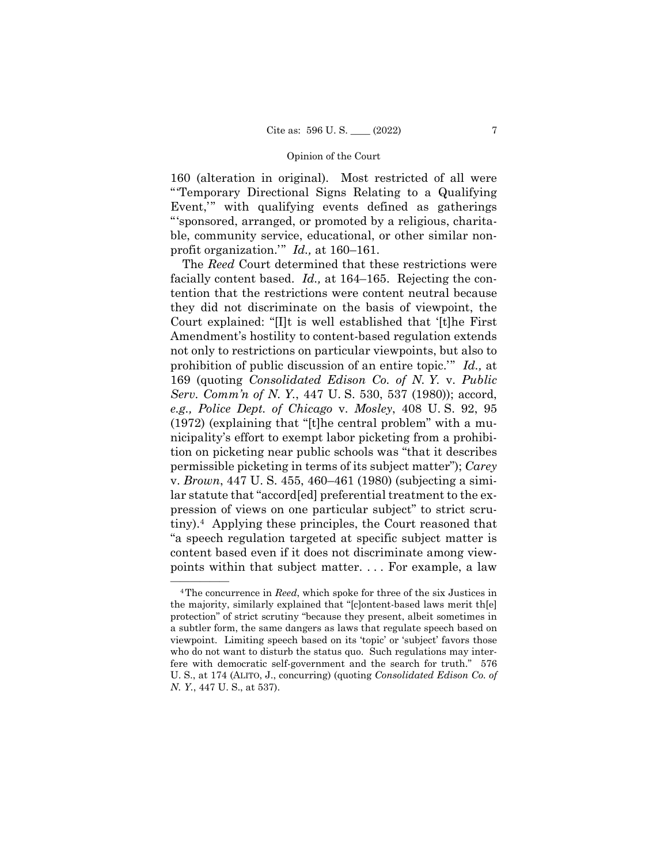#### Opinion of the Court

160 (alteration in original). Most restricted of all were "'Temporary Directional Signs Relating to a Qualifying Event,'" with qualifying events defined as gatherings "'sponsored, arranged, or promoted by a religious, charitable, community service, educational, or other similar nonprofit organization.'" *Id.,* at 160–161.

The *Reed* Court determined that these restrictions were facially content based. *Id.,* at 164–165. Rejecting the contention that the restrictions were content neutral because they did not discriminate on the basis of viewpoint, the Court explained: "[I]t is well established that '[t]he First Amendment's hostility to content-based regulation extends not only to restrictions on particular viewpoints, but also to prohibition of public discussion of an entire topic.'" *Id.,* at 169 (quoting *Consolidated Edison Co. of N. Y.* v. *Public Serv. Comm'n of N. Y.*, 447 U. S. 530, 537 (1980)); accord, *e.g., Police Dept. of Chicago* v. *Mosley*, 408 U. S. 92, 95 (1972) (explaining that "[t]he central problem" with a municipality's effort to exempt labor picketing from a prohibition on picketing near public schools was "that it describes permissible picketing in terms of its subject matter"); *Carey*  v. *Brown*, 447 U. S. 455, 460–461 (1980) (subjecting a similar statute that "accord[ed] preferential treatment to the expression of views on one particular subject" to strict scrutiny).4 Applying these principles, the Court reasoned that "a speech regulation targeted at specific subject matter is content based even if it does not discriminate among viewpoints within that subject matter. . . . For example, a law

<sup>&</sup>lt;sup>4</sup>The concurrence in *Reed*, which spoke for three of the six Justices in the majority, similarly explained that "[c]ontent-based laws merit th[e] protection" of strict scrutiny "because they present, albeit sometimes in a subtler form, the same dangers as laws that regulate speech based on viewpoint. Limiting speech based on its 'topic' or 'subject' favors those who do not want to disturb the status quo. Such regulations may interfere with democratic self-government and the search for truth." 576 U. S., at 174 (ALITO, J., concurring) (quoting *Consolidated Edison Co. of N. Y.*, 447 U. S., at 537).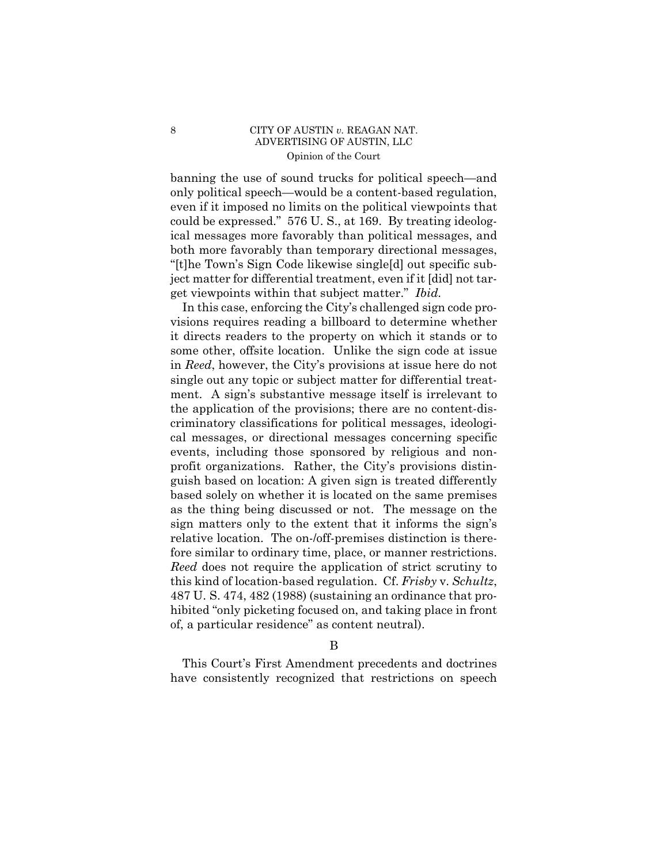## 8 CITY OF AUSTIN *v*. REAGAN NAT. ADVERTISING OF AUSTIN, LLC Opinion of the Court

banning the use of sound trucks for political speech—and only political speech—would be a content-based regulation, even if it imposed no limits on the political viewpoints that could be expressed." 576 U. S., at 169. By treating ideological messages more favorably than political messages, and both more favorably than temporary directional messages, "[t]he Town's Sign Code likewise single[d] out specific subject matter for differential treatment, even if it [did] not target viewpoints within that subject matter." *Ibid.* 

In this case, enforcing the City's challenged sign code provisions requires reading a billboard to determine whether it directs readers to the property on which it stands or to some other, offsite location. Unlike the sign code at issue in *Reed*, however, the City's provisions at issue here do not single out any topic or subject matter for differential treatment. A sign's substantive message itself is irrelevant to the application of the provisions; there are no content-discriminatory classifications for political messages, ideological messages, or directional messages concerning specific events, including those sponsored by religious and nonprofit organizations. Rather, the City's provisions distinguish based on location: A given sign is treated differently based solely on whether it is located on the same premises as the thing being discussed or not. The message on the sign matters only to the extent that it informs the sign's relative location. The on-/off-premises distinction is therefore similar to ordinary time, place, or manner restrictions. *Reed* does not require the application of strict scrutiny to this kind of location-based regulation. Cf. *Frisby* v. *Schultz*, 487 U. S. 474, 482 (1988) (sustaining an ordinance that prohibited "only picketing focused on, and taking place in front of, a particular residence" as content neutral).

This Court's First Amendment precedents and doctrines have consistently recognized that restrictions on speech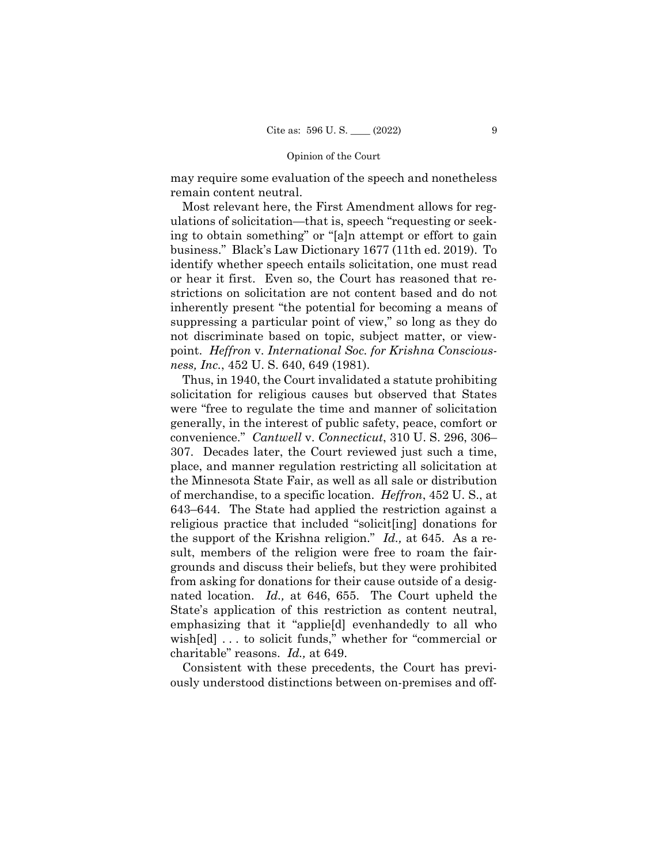#### Opinion of the Court

may require some evaluation of the speech and nonetheless remain content neutral.

Most relevant here, the First Amendment allows for regulations of solicitation—that is, speech "requesting or seeking to obtain something" or "[a]n attempt or effort to gain business." Black's Law Dictionary 1677 (11th ed. 2019). To identify whether speech entails solicitation, one must read or hear it first. Even so, the Court has reasoned that restrictions on solicitation are not content based and do not inherently present "the potential for becoming a means of suppressing a particular point of view," so long as they do not discriminate based on topic, subject matter, or viewpoint. *Heffron* v. *International Soc. for Krishna Consciousness, Inc.*, 452 U. S. 640, 649 (1981).

Thus, in 1940, the Court invalidated a statute prohibiting solicitation for religious causes but observed that States were "free to regulate the time and manner of solicitation generally, in the interest of public safety, peace, comfort or convenience." *Cantwell* v. *Connecticut*, 310 U. S. 296, 306– 307. Decades later, the Court reviewed just such a time, place, and manner regulation restricting all solicitation at the Minnesota State Fair, as well as all sale or distribution of merchandise, to a specific location. *Heffron*, 452 U. S., at 643–644. The State had applied the restriction against a religious practice that included "solicit[ing] donations for the support of the Krishna religion." *Id.,* at 645. As a result, members of the religion were free to roam the fairgrounds and discuss their beliefs, but they were prohibited from asking for donations for their cause outside of a designated location. *Id.,* at 646, 655. The Court upheld the State's application of this restriction as content neutral, emphasizing that it "applie[d] evenhandedly to all who wish[ed] . . . to solicit funds," whether for "commercial or charitable" reasons. *Id.,* at 649.

Consistent with these precedents, the Court has previously understood distinctions between on-premises and off-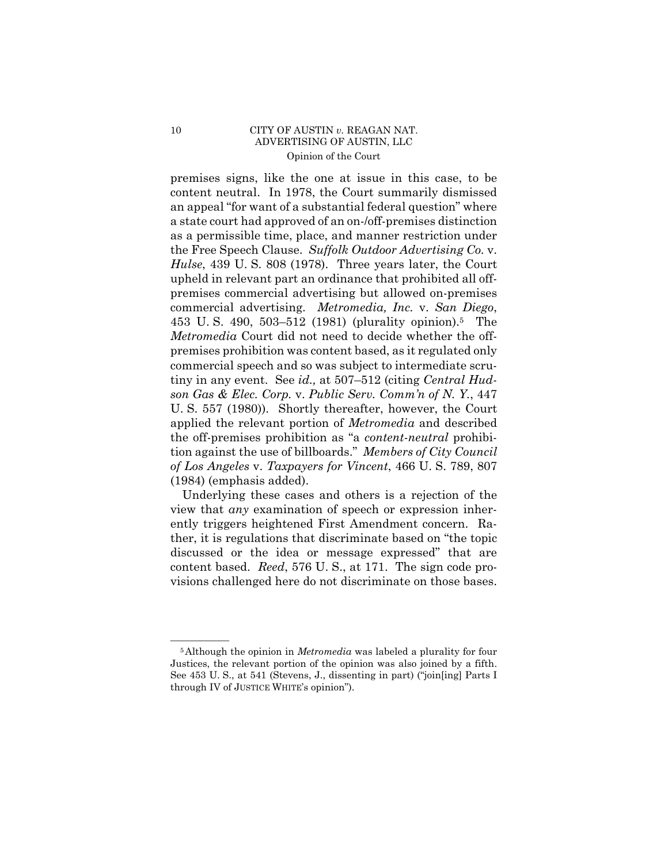### 10 CITY OF AUSTIN *v.* REAGAN NAT. ADVERTISING OF AUSTIN, LLC Opinion of the Court

 the Free Speech Clause. *Suffolk Outdoor Advertising Co.* v. premises signs, like the one at issue in this case, to be content neutral. In 1978, the Court summarily dismissed an appeal "for want of a substantial federal question" where a state court had approved of an on-/off-premises distinction as a permissible time, place, and manner restriction under *Hulse*, 439 U. S. 808 (1978). Three years later, the Court upheld in relevant part an ordinance that prohibited all offpremises commercial advertising but allowed on-premises commercial advertising. *Metromedia, Inc.* v. *San Diego*, 453 U. S. 490, 503–512 (1981) (plurality opinion).5 The *Metromedia* Court did not need to decide whether the offpremises prohibition was content based, as it regulated only commercial speech and so was subject to intermediate scrutiny in any event. See *id.,* at 507–512 (citing *Central Hudson Gas & Elec. Corp.* v. *Public Serv. Comm'n of N. Y.*, 447 U. S. 557 (1980)). Shortly thereafter, however, the Court applied the relevant portion of *Metromedia* and described the off-premises prohibition as "a *content-neutral* prohibition against the use of billboards." *Members of City Council of Los Angeles* v. *Taxpayers for Vincent*, 466 U. S. 789, 807 (1984) (emphasis added).

Underlying these cases and others is a rejection of the view that *any* examination of speech or expression inherently triggers heightened First Amendment concern. Rather, it is regulations that discriminate based on "the topic discussed or the idea or message expressed" that are content based. *Reed*, 576 U. S., at 171. The sign code provisions challenged here do not discriminate on those bases.

 Justices, the relevant portion of the opinion was also joined by a fifth. <sup>5</sup>Although the opinion in *Metromedia* was labeled a plurality for four See 453 U. S., at 541 (Stevens, J., dissenting in part) ("join[ing] Parts I through IV of JUSTICE WHITE's opinion").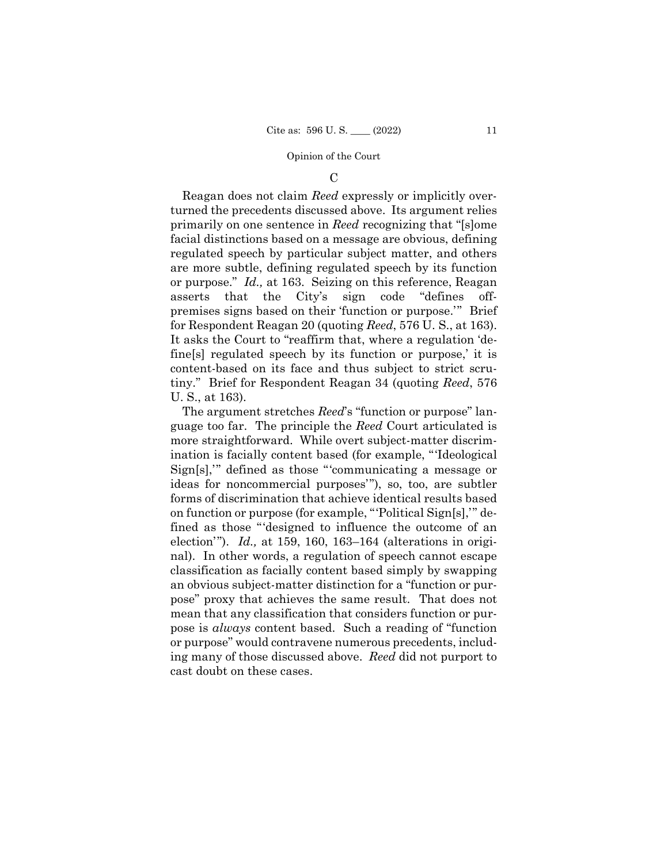#### Opinion of the Court

#### $\mathcal{C}$

Reagan does not claim *Reed* expressly or implicitly overturned the precedents discussed above. Its argument relies primarily on one sentence in *Reed* recognizing that "[s]ome facial distinctions based on a message are obvious, defining regulated speech by particular subject matter, and others are more subtle, defining regulated speech by its function or purpose." *Id.,* at 163. Seizing on this reference, Reagan asserts that the City's sign code "defines offpremises signs based on their 'function or purpose.'" Brief for Respondent Reagan 20 (quoting *Reed*, 576 U. S., at 163). It asks the Court to "reaffirm that, where a regulation 'define[s] regulated speech by its function or purpose,' it is content-based on its face and thus subject to strict scrutiny." Brief for Respondent Reagan 34 (quoting *Reed*, 576 U. S., at 163).

 ing many of those discussed above. *Reed* did not purport to The argument stretches *Reed*'s "function or purpose" language too far. The principle the *Reed* Court articulated is more straightforward. While overt subject-matter discrimination is facially content based (for example, "'Ideological Sign[s],'" defined as those "'communicating a message or ideas for noncommercial purposes'"), so, too, are subtler forms of discrimination that achieve identical results based on function or purpose (for example, "'Political Sign[s],'" defined as those "'designed to influence the outcome of an election'"). *Id.,* at 159, 160, 163–164 (alterations in original). In other words, a regulation of speech cannot escape classification as facially content based simply by swapping an obvious subject-matter distinction for a "function or purpose" proxy that achieves the same result. That does not mean that any classification that considers function or purpose is *always* content based. Such a reading of "function or purpose" would contravene numerous precedents, includcast doubt on these cases.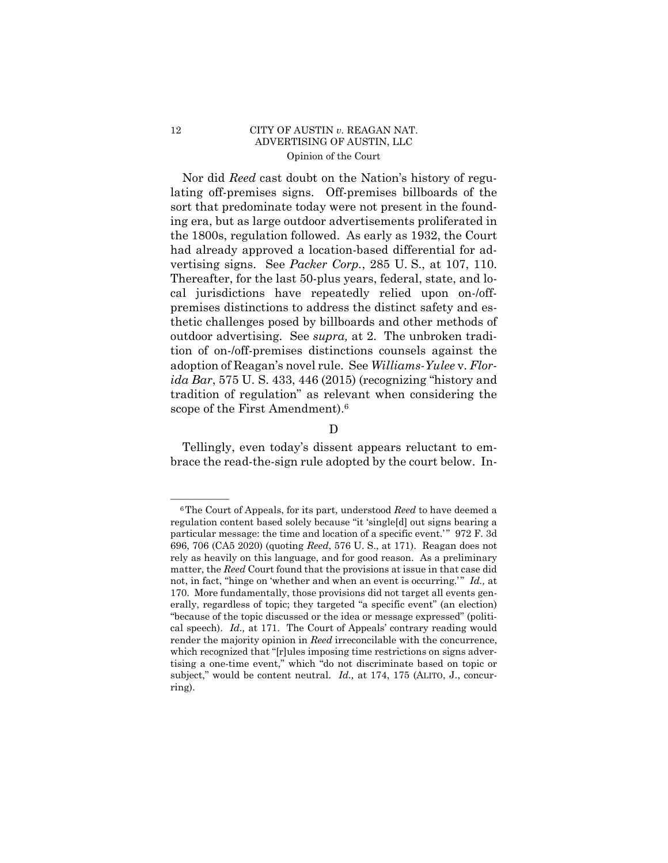### 12 CITY OF AUSTIN *v.* REAGAN NAT. ADVERTISING OF AUSTIN, LLC Opinion of the Court

vertising signs. See *Packer Corp.*, 285 U. S., at 107, 110. Thereafter, for the last 50-plus years, federal, state, and lo- Nor did *Reed* cast doubt on the Nation's history of regulating off-premises signs. Off-premises billboards of the sort that predominate today were not present in the founding era, but as large outdoor advertisements proliferated in the 1800s, regulation followed. As early as 1932, the Court had already approved a location-based differential for adcal jurisdictions have repeatedly relied upon on-/offpremises distinctions to address the distinct safety and esthetic challenges posed by billboards and other methods of outdoor advertising. See *supra,* at 2. The unbroken tradition of on-/off-premises distinctions counsels against the adoption of Reagan's novel rule. See *Williams-Yulee* v. *Florida Bar*, 575 U. S. 433, 446 (2015) (recognizing "history and tradition of regulation" as relevant when considering the scope of the First Amendment).6

D

Tellingly, even today's dissent appears reluctant to embrace the read-the-sign rule adopted by the court below. In-

<sup>&</sup>lt;sup>6</sup>The Court of Appeals, for its part, understood *Reed* to have deemed a regulation content based solely because "it 'single[d] out signs bearing a particular message: the time and location of a specific event.'" 972 F. 3d 696, 706 (CA5 2020) (quoting *Reed*, 576 U. S., at 171). Reagan does not rely as heavily on this language, and for good reason. As a preliminary matter, the *Reed* Court found that the provisions at issue in that case did not, in fact, "hinge on 'whether and when an event is occurring." *Id.*, at 170. More fundamentally, those provisions did not target all events generally, regardless of topic; they targeted "a specific event" (an election) "because of the topic discussed or the idea or message expressed" (political speech). *Id.,* at 171. The Court of Appeals' contrary reading would render the majority opinion in *Reed* irreconcilable with the concurrence, which recognized that "[r]ules imposing time restrictions on signs advertising a one-time event," which "do not discriminate based on topic or subject," would be content neutral. *Id.,* at 174, 175 (ALITO, J., concurring).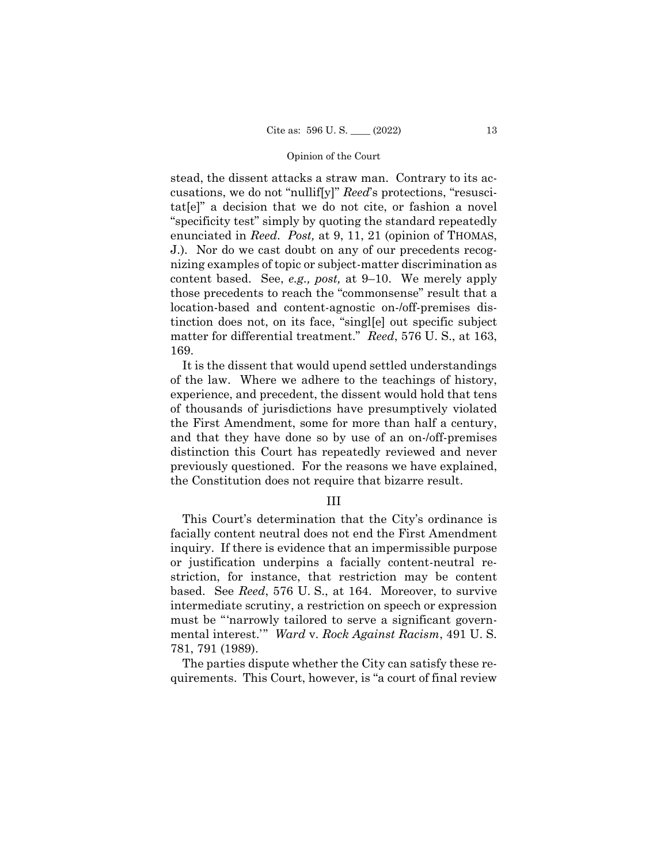#### Opinion of the Court

 matter for differential treatment." *Reed*, 576 U. S., at 163, stead, the dissent attacks a straw man. Contrary to its accusations, we do not "nullif[y]" *Reed*'s protections, "resuscitat[e]" a decision that we do not cite, or fashion a novel "specificity test" simply by quoting the standard repeatedly enunciated in *Reed*. *Post,* at 9, 11, 21 (opinion of THOMAS, J.). Nor do we cast doubt on any of our precedents recognizing examples of topic or subject-matter discrimination as content based. See, *e.g., post,* at 9–10. We merely apply those precedents to reach the "commonsense" result that a location-based and content-agnostic on-/off-premises distinction does not, on its face, "singl[e] out specific subject 169.

It is the dissent that would upend settled understandings of the law. Where we adhere to the teachings of history, experience, and precedent, the dissent would hold that tens of thousands of jurisdictions have presumptively violated the First Amendment, some for more than half a century, and that they have done so by use of an on-/off-premises distinction this Court has repeatedly reviewed and never previously questioned. For the reasons we have explained, the Constitution does not require that bizarre result.

### III

This Court's determination that the City's ordinance is facially content neutral does not end the First Amendment inquiry. If there is evidence that an impermissible purpose or justification underpins a facially content-neutral restriction, for instance, that restriction may be content based. See *Reed*, 576 U. S., at 164. Moreover, to survive intermediate scrutiny, a restriction on speech or expression must be "'narrowly tailored to serve a significant governmental interest.'" *Ward* v. *Rock Against Racism*, 491 U. S. 781, 791 (1989).

The parties dispute whether the City can satisfy these requirements. This Court, however, is "a court of final review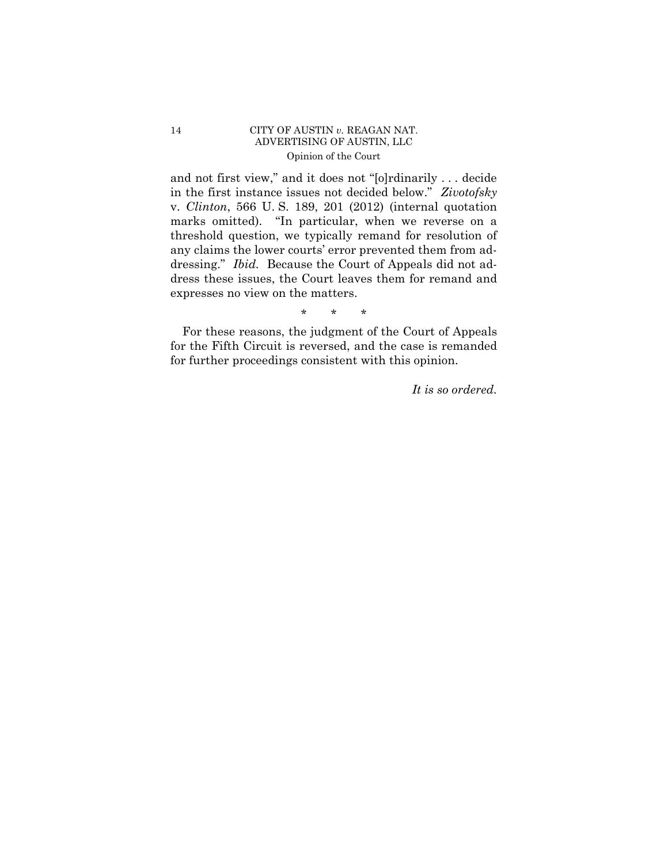## 14 CITY OF AUSTIN *v.* REAGAN NAT. ADVERTISING OF AUSTIN, LLC Opinion of the Court

and not first view," and it does not "[o]rdinarily . . . decide in the first instance issues not decided below." *Zivotofsky*  v. *Clinton*, 566 U. S. 189, 201 (2012) (internal quotation marks omitted). "In particular, when we reverse on a threshold question, we typically remand for resolution of any claims the lower courts' error prevented them from addressing." *Ibid.* Because the Court of Appeals did not address these issues, the Court leaves them for remand and expresses no view on the matters.

\* \* \*

For these reasons, the judgment of the Court of Appeals for the Fifth Circuit is reversed, and the case is remanded for further proceedings consistent with this opinion.

*It is so ordered.*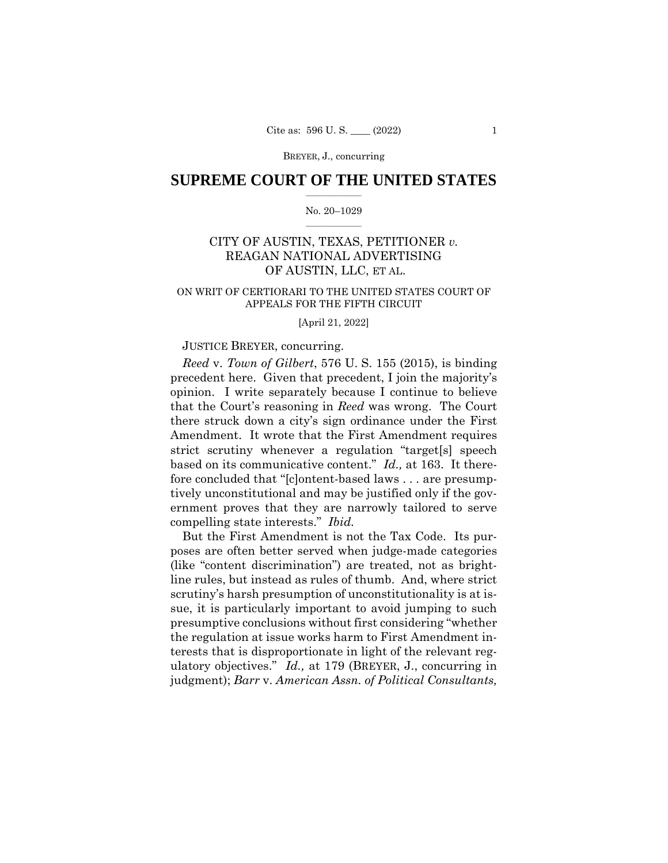#### BREYER, J., concurring

## $\frac{1}{2}$  ,  $\frac{1}{2}$  ,  $\frac{1}{2}$  ,  $\frac{1}{2}$  ,  $\frac{1}{2}$  ,  $\frac{1}{2}$  ,  $\frac{1}{2}$ **SUPREME COURT OF THE UNITED STATES**

#### $\frac{1}{2}$  ,  $\frac{1}{2}$  ,  $\frac{1}{2}$  ,  $\frac{1}{2}$  ,  $\frac{1}{2}$  ,  $\frac{1}{2}$ No. 20–1029

# CITY OF AUSTIN, TEXAS, PETITIONER *v.*  REAGAN NATIONAL ADVERTISING OF AUSTIN, LLC, ET AL.

### ON WRIT OF CERTIORARI TO THE UNITED STATES COURT OF APPEALS FOR THE FIFTH CIRCUIT

#### [April 21, 2022]

### JUSTICE BREYER, concurring.

*Reed* v. *Town of Gilbert*, 576 U. S. 155 (2015), is binding precedent here. Given that precedent, I join the majority's opinion. I write separately because I continue to believe that the Court's reasoning in *Reed* was wrong. The Court there struck down a city's sign ordinance under the First Amendment. It wrote that the First Amendment requires strict scrutiny whenever a regulation "target[s] speech based on its communicative content." *Id.,* at 163. It therefore concluded that "[c]ontent-based laws . . . are presumptively unconstitutional and may be justified only if the government proves that they are narrowly tailored to serve compelling state interests." *Ibid.* 

But the First Amendment is not the Tax Code. Its purposes are often better served when judge-made categories (like "content discrimination") are treated, not as brightline rules, but instead as rules of thumb. And, where strict scrutiny's harsh presumption of unconstitutionality is at issue, it is particularly important to avoid jumping to such presumptive conclusions without first considering "whether the regulation at issue works harm to First Amendment interests that is disproportionate in light of the relevant regulatory objectives." *Id.,* at 179 (BREYER, J., concurring in judgment); *Barr* v. *American Assn. of Political Consultants,*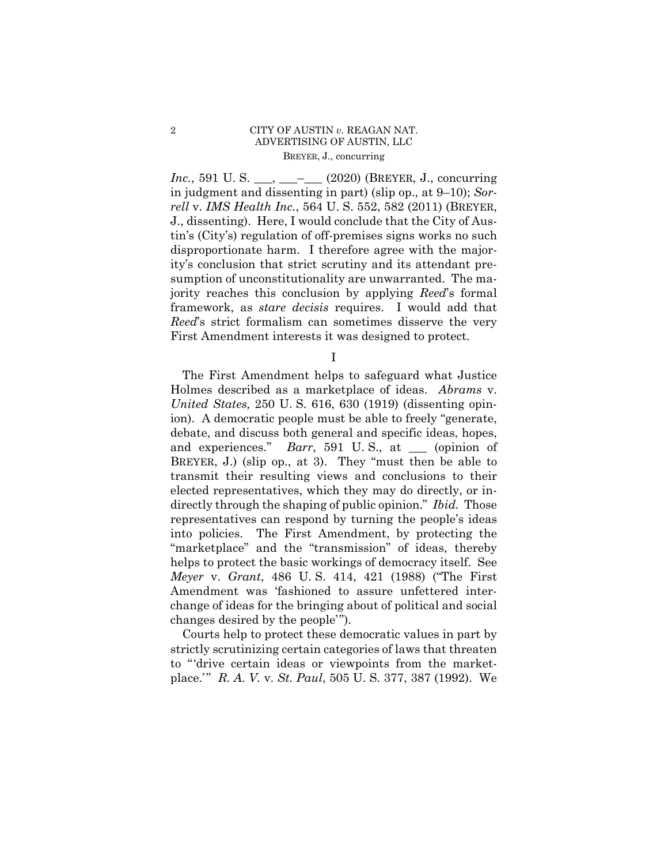## 2 CITY OF AUSTIN *v.* REAGAN NAT. ADVERTISING OF AUSTIN, LLC BREYER, J., concurring

*Inc.*, 591 U.S. \_\_\_, \_\_\_- (2020) (BREYER, J., concurring in judgment and dissenting in part) (slip op., at 9–10); *Sorrell* v. *IMS Health Inc.*, 564 U. S. 552, 582 (2011) (BREYER, J., dissenting). Here, I would conclude that the City of Austin's (City's) regulation of off-premises signs works no such disproportionate harm. I therefore agree with the majority's conclusion that strict scrutiny and its attendant presumption of unconstitutionality are unwarranted. The majority reaches this conclusion by applying *Reed*'s formal framework, as *stare decisis* requires. I would add that *Reed*'s strict formalism can sometimes disserve the very First Amendment interests it was designed to protect.

I

 Holmes described as a marketplace of ideas. *Abrams* v. The First Amendment helps to safeguard what Justice *United States,* 250 U. S. 616, 630 (1919) (dissenting opinion). A democratic people must be able to freely "generate, debate, and discuss both general and specific ideas, hopes, and experiences." *Barr*, 591 U.S., at \_\_\_ (opinion of BREYER, J.) (slip op., at 3). They "must then be able to transmit their resulting views and conclusions to their elected representatives, which they may do directly, or indirectly through the shaping of public opinion." *Ibid.* Those representatives can respond by turning the people's ideas into policies. The First Amendment, by protecting the "marketplace" and the "transmission" of ideas, thereby helps to protect the basic workings of democracy itself. See *Meyer* v. *Grant*, 486 U. S. 414, 421 (1988) ("The First Amendment was 'fashioned to assure unfettered interchange of ideas for the bringing about of political and social changes desired by the people'").

Courts help to protect these democratic values in part by strictly scrutinizing certain categories of laws that threaten to "'drive certain ideas or viewpoints from the marketplace.'" *R. A. V.* v. *St. Paul*, 505 U. S. 377, 387 (1992). We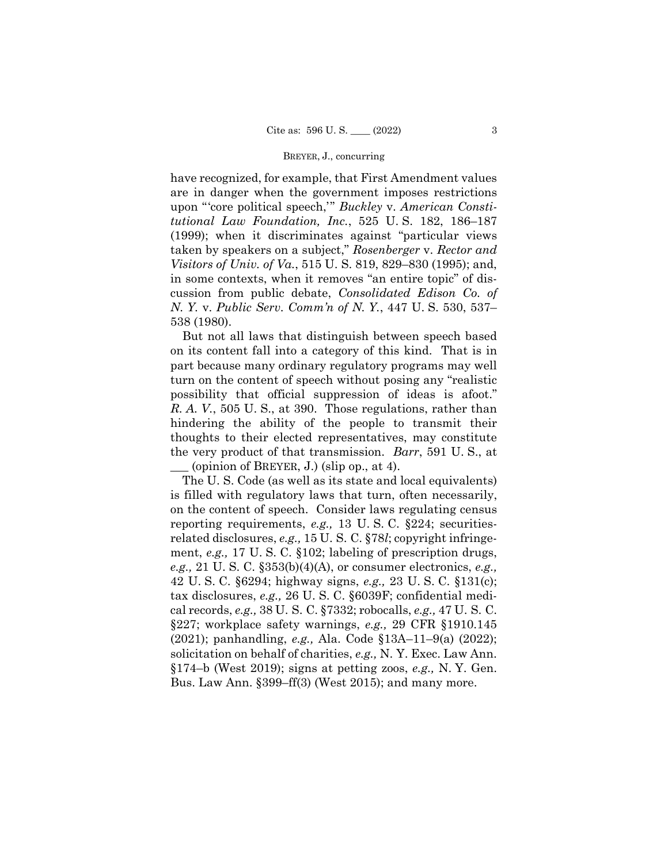#### BREYER, J., concurring

have recognized, for example, that First Amendment values are in danger when the government imposes restrictions upon "'core political speech,'" *Buckley* v. *American Constitutional Law Foundation, Inc.*, 525 U. S. 182, 186–187 (1999); when it discriminates against "particular views taken by speakers on a subject," *Rosenberger* v. *Rector and Visitors of Univ. of Va.*, 515 U. S. 819, 829–830 (1995); and, in some contexts, when it removes "an entire topic" of discussion from public debate, *Consolidated Edison Co. of N. Y.* v. *Public Serv. Comm'n of N. Y.*, 447 U. S. 530, 537– 538 (1980).

But not all laws that distinguish between speech based on its content fall into a category of this kind. That is in part because many ordinary regulatory programs may well turn on the content of speech without posing any "realistic possibility that official suppression of ideas is afoot." *R. A. V.*, 505 U. S., at 390. Those regulations, rather than hindering the ability of the people to transmit their thoughts to their elected representatives, may constitute the very product of that transmission. *Barr*, 591 U. S., at \_\_\_ (opinion of BREYER, J.) (slip op., at 4).

The U. S. Code (as well as its state and local equivalents) is filled with regulatory laws that turn, often necessarily, on the content of speech. Consider laws regulating census reporting requirements, *e.g.,* 13 U. S. C. §224; securitiesrelated disclosures, *e.g.,* 15 U. S. C. §78*l*; copyright infringement, *e.g.,* 17 U. S. C. §102; labeling of prescription drugs, *e.g.,* 21 U. S. C. §353(b)(4)(A), or consumer electronics, *e.g.,* 42 U. S. C. §6294; highway signs, *e.g.,* 23 U. S. C. §131(c); tax disclosures, *e.g.,* 26 U. S. C. §6039F; confidential medical records, *e.g.,* 38 U. S. C. §7332; robocalls, *e.g.,* 47 U. S. C. §227; workplace safety warnings, *e.g.,* 29 CFR §1910.145 (2021); panhandling, *e.g.,* Ala. Code §13A–11–9(a) (2022); solicitation on behalf of charities, *e.g.,* N. Y. Exec. Law Ann. §174–b (West 2019); signs at petting zoos, *e.g.,* N. Y. Gen. Bus. Law Ann. §399–ff(3) (West 2015); and many more.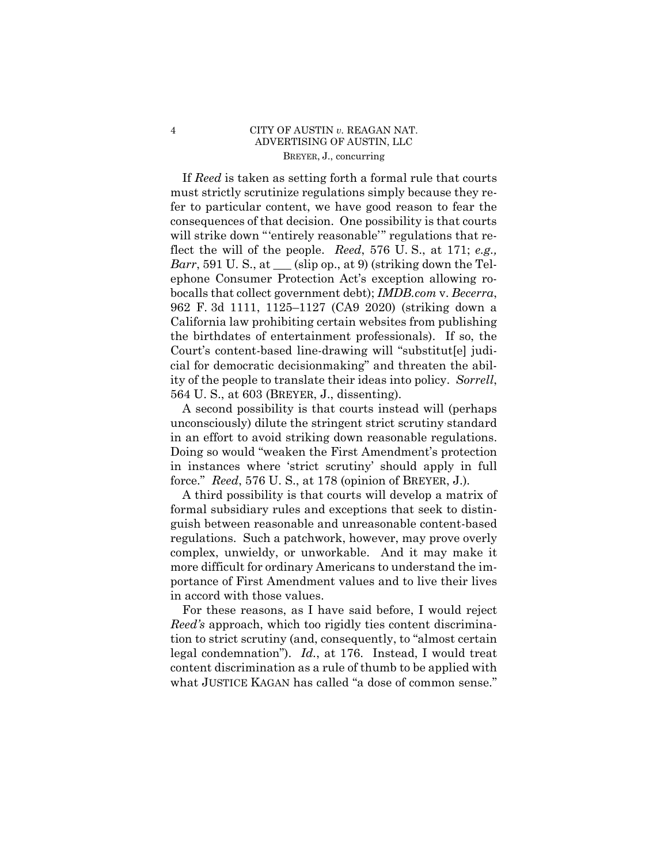## 4 CITY OF AUSTIN *v.* REAGAN NAT. ADVERTISING OF AUSTIN, LLC BREYER, J., concurring

 If *Reed* is taken as setting forth a formal rule that courts must strictly scrutinize regulations simply because they refer to particular content, we have good reason to fear the consequences of that decision. One possibility is that courts will strike down "'entirely reasonable'" regulations that reflect the will of the people. *Reed*, 576 U. S., at 171; *e.g., Barr*, 591 U. S., at  $\_\_$  (slip op., at 9) (striking down the Telephone Consumer Protection Act's exception allowing robocalls that collect government debt); *IMDB.com* v. *Becerra*, 962 F. 3d 1111, 1125–1127 (CA9 2020) (striking down a California law prohibiting certain websites from publishing the birthdates of entertainment professionals). If so, the Court's content-based line-drawing will "substitut[e] judicial for democratic decisionmaking" and threaten the ability of the people to translate their ideas into policy. *Sorrell*, 564 U. S., at 603 (BREYER, J., dissenting).

 in an effort to avoid striking down reasonable regulations. A second possibility is that courts instead will (perhaps unconsciously) dilute the stringent strict scrutiny standard Doing so would "weaken the First Amendment's protection in instances where 'strict scrutiny' should apply in full force." *Reed*, 576 U. S., at 178 (opinion of BREYER, J.)*.* 

A third possibility is that courts will develop a matrix of formal subsidiary rules and exceptions that seek to distinguish between reasonable and unreasonable content-based regulations. Such a patchwork, however, may prove overly complex, unwieldy, or unworkable. And it may make it more difficult for ordinary Americans to understand the importance of First Amendment values and to live their lives in accord with those values.

For these reasons, as I have said before, I would reject *Reed's* approach, which too rigidly ties content discrimination to strict scrutiny (and, consequently, to "almost certain legal condemnation"). *Id.*, at 176. Instead, I would treat content discrimination as a rule of thumb to be applied with what JUSTICE KAGAN has called "a dose of common sense."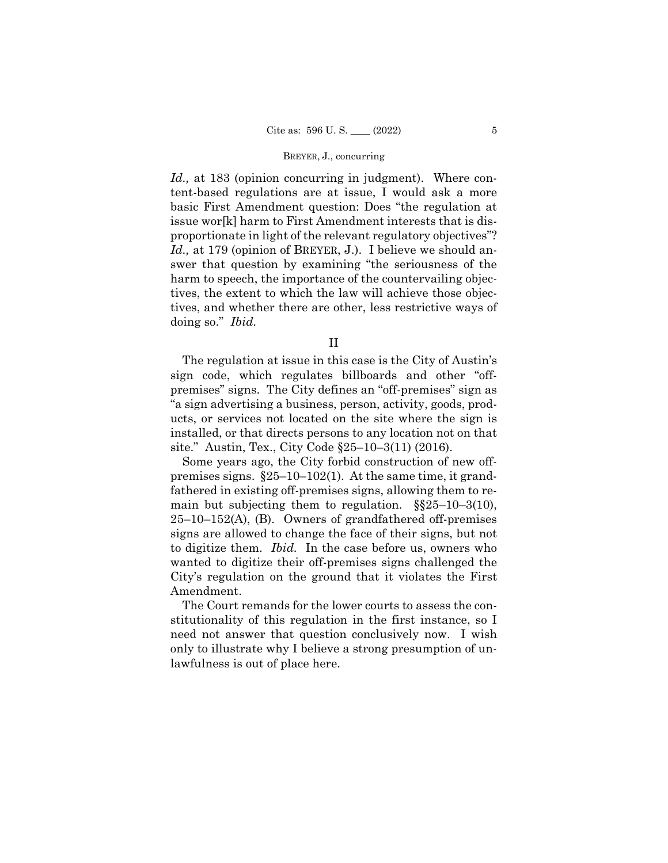#### BREYER, J., concurring

*Id.,* at 183 (opinion concurring in judgment). Where content-based regulations are at issue, I would ask a more basic First Amendment question: Does "the regulation at issue wor[k] harm to First Amendment interests that is disproportionate in light of the relevant regulatory objectives"? *Id.,* at 179 (opinion of BREYER, J.). I believe we should answer that question by examining "the seriousness of the harm to speech, the importance of the countervailing objectives, the extent to which the law will achieve those objectives, and whether there are other, less restrictive ways of doing so." *Ibid.* 

The regulation at issue in this case is the City of Austin's sign code, which regulates billboards and other "offpremises" signs. The City defines an "off-premises" sign as "a sign advertising a business, person, activity, goods, products, or services not located on the site where the sign is installed, or that directs persons to any location not on that site." Austin, Tex., City Code §25–10–3(11) (2016).

Some years ago, the City forbid construction of new offpremises signs. §25–10–102(1). At the same time, it grandfathered in existing off-premises signs, allowing them to remain but subjecting them to regulation.  $\S$  $\S$ 25–10–3(10),  $25-10-152(A)$ , (B). Owners of grandfathered off-premises signs are allowed to change the face of their signs, but not to digitize them. *Ibid.* In the case before us, owners who wanted to digitize their off-premises signs challenged the City's regulation on the ground that it violates the First Amendment.

The Court remands for the lower courts to assess the constitutionality of this regulation in the first instance, so I need not answer that question conclusively now. I wish only to illustrate why I believe a strong presumption of unlawfulness is out of place here.

II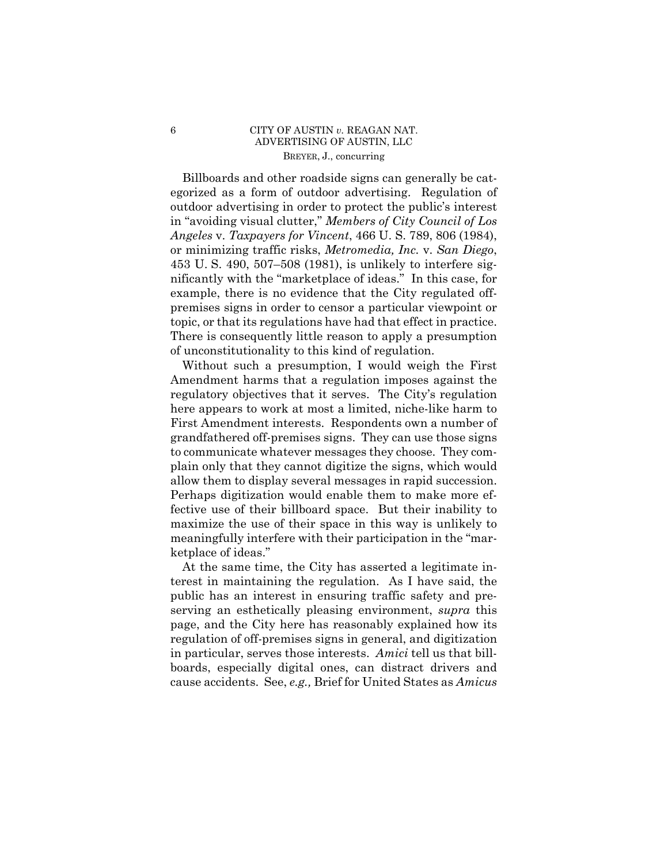## 6 CITY OF AUSTIN *v.* REAGAN NAT. ADVERTISING OF AUSTIN, LLC BREYER, J., concurring

 topic, or that its regulations have had that effect in practice. Billboards and other roadside signs can generally be categorized as a form of outdoor advertising. Regulation of outdoor advertising in order to protect the public's interest in "avoiding visual clutter," *Members of City Council of Los Angeles* v. *Taxpayers for Vincent*, 466 U. S. 789, 806 (1984), or minimizing traffic risks, *Metromedia, Inc.* v. *San Diego*, 453 U. S. 490, 507–508 (1981), is unlikely to interfere significantly with the "marketplace of ideas." In this case, for example, there is no evidence that the City regulated offpremises signs in order to censor a particular viewpoint or There is consequently little reason to apply a presumption of unconstitutionality to this kind of regulation.

Without such a presumption, I would weigh the First Amendment harms that a regulation imposes against the regulatory objectives that it serves. The City's regulation here appears to work at most a limited, niche-like harm to First Amendment interests. Respondents own a number of grandfathered off-premises signs. They can use those signs to communicate whatever messages they choose. They complain only that they cannot digitize the signs, which would allow them to display several messages in rapid succession. Perhaps digitization would enable them to make more effective use of their billboard space. But their inability to maximize the use of their space in this way is unlikely to meaningfully interfere with their participation in the "marketplace of ideas."

At the same time, the City has asserted a legitimate interest in maintaining the regulation. As I have said, the public has an interest in ensuring traffic safety and preserving an esthetically pleasing environment, *supra* this page, and the City here has reasonably explained how its regulation of off-premises signs in general, and digitization in particular, serves those interests. *Amici* tell us that billboards, especially digital ones, can distract drivers and cause accidents. See, *e.g.,* Brief for United States as *Amicus*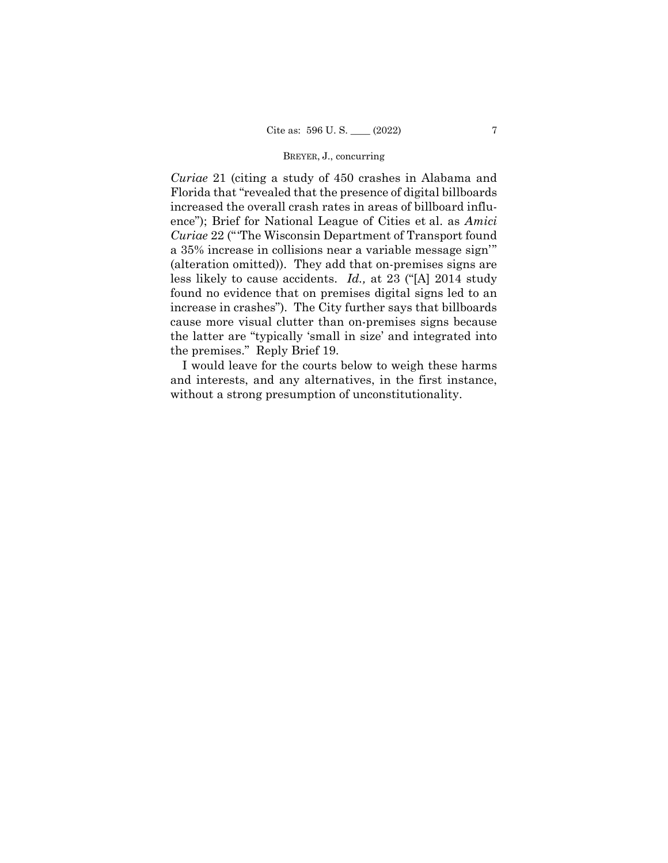### BREYER, J., concurring

*Curiae* 21 (citing a study of 450 crashes in Alabama and Florida that "revealed that the presence of digital billboards increased the overall crash rates in areas of billboard influence"); Brief for National League of Cities et al. as *Amici Curiae* 22 ("'The Wisconsin Department of Transport found a 35% increase in collisions near a variable message sign'" (alteration omitted)). They add that on-premises signs are less likely to cause accidents. *Id.,* at 23 ("[A] 2014 study found no evidence that on premises digital signs led to an increase in crashes"). The City further says that billboards cause more visual clutter than on-premises signs because the latter are "typically 'small in size' and integrated into the premises." Reply Brief 19.

I would leave for the courts below to weigh these harms and interests, and any alternatives, in the first instance, without a strong presumption of unconstitutionality.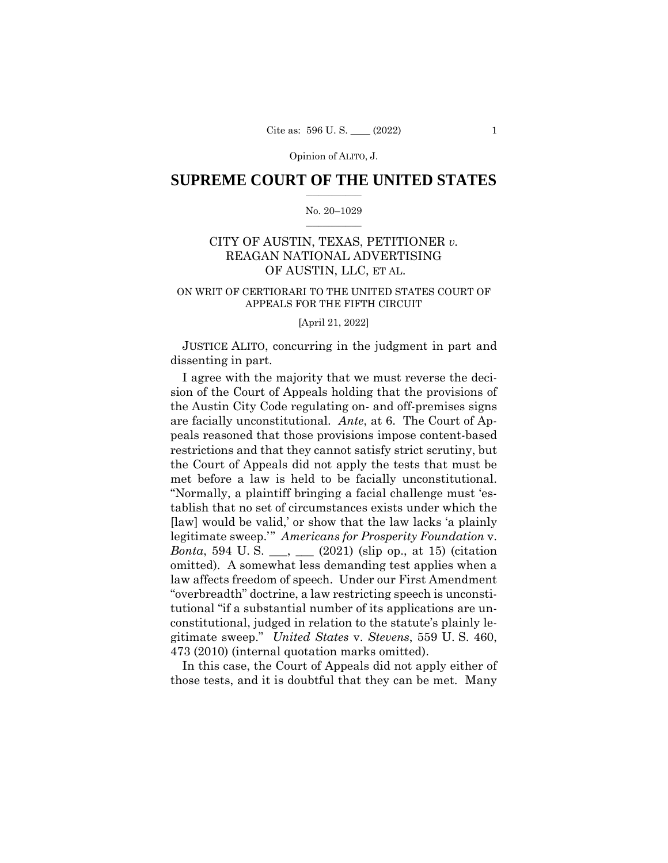Opinion of ALITO, J.

### $\frac{1}{2}$  ,  $\frac{1}{2}$  ,  $\frac{1}{2}$  ,  $\frac{1}{2}$  ,  $\frac{1}{2}$  ,  $\frac{1}{2}$  ,  $\frac{1}{2}$ **SUPREME COURT OF THE UNITED STATES**

#### $\frac{1}{2}$  ,  $\frac{1}{2}$  ,  $\frac{1}{2}$  ,  $\frac{1}{2}$  ,  $\frac{1}{2}$  ,  $\frac{1}{2}$ No. 20–1029

# CITY OF AUSTIN, TEXAS, PETITIONER *v.*  REAGAN NATIONAL ADVERTISING OF AUSTIN, LLC, ET AL.

### ON WRIT OF CERTIORARI TO THE UNITED STATES COURT OF APPEALS FOR THE FIFTH CIRCUIT

#### [April 21, 2022]

JUSTICE ALITO, concurring in the judgment in part and dissenting in part.

I agree with the majority that we must reverse the decision of the Court of Appeals holding that the provisions of the Austin City Code regulating on- and off-premises signs are facially unconstitutional. *Ante*, at 6. The Court of Appeals reasoned that those provisions impose content-based restrictions and that they cannot satisfy strict scrutiny, but the Court of Appeals did not apply the tests that must be met before a law is held to be facially unconstitutional. "Normally, a plaintiff bringing a facial challenge must 'establish that no set of circumstances exists under which the [law] would be valid,' or show that the law lacks 'a plainly legitimate sweep.'" *Americans for Prosperity Foundation* v. *Bonta*, 594 U.S. \_\_, \_\_ (2021) (slip op., at 15) (citation omitted). A somewhat less demanding test applies when a law affects freedom of speech. Under our First Amendment "overbreadth" doctrine, a law restricting speech is unconstitutional "if a substantial number of its applications are unconstitutional, judged in relation to the statute's plainly legitimate sweep." *United States* v. *Stevens*, 559 U. S. 460, 473 (2010) (internal quotation marks omitted).

In this case, the Court of Appeals did not apply either of those tests, and it is doubtful that they can be met. Many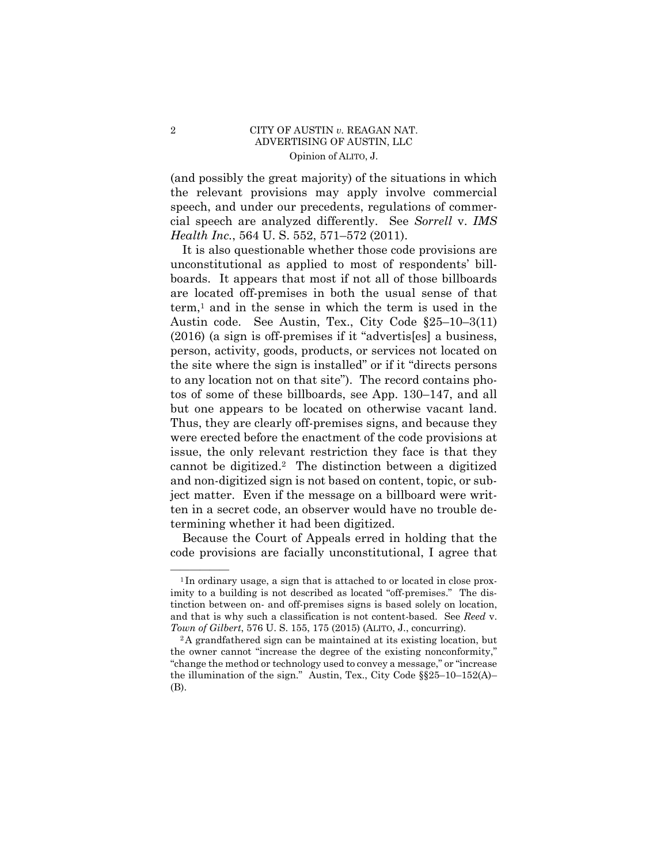## Opinion of ALITO, J. 2 CITY OF AUSTIN *v.* REAGAN NAT. ADVERTISING OF AUSTIN, LLC

(and possibly the great majority) of the situations in which the relevant provisions may apply involve commercial speech, and under our precedents, regulations of commercial speech are analyzed differently. See *Sorrell* v. *IMS Health Inc.*, 564 U. S. 552, 571–572 (2011).

 but one appears to be located on otherwise vacant land. It is also questionable whether those code provisions are unconstitutional as applied to most of respondents' billboards. It appears that most if not all of those billboards are located off-premises in both the usual sense of that  $term<sup>1</sup>$  and in the sense in which the term is used in the Austin code. See Austin, Tex., City Code §25–10–3(11) (2016) (a sign is off-premises if it "advertis[es] a business, person, activity, goods, products, or services not located on the site where the sign is installed" or if it "directs persons to any location not on that site"). The record contains photos of some of these billboards, see App. 130–147, and all Thus, they are clearly off-premises signs, and because they were erected before the enactment of the code provisions at issue, the only relevant restriction they face is that they cannot be digitized.2 The distinction between a digitized and non-digitized sign is not based on content, topic, or subject matter. Even if the message on a billboard were written in a secret code, an observer would have no trouble determining whether it had been digitized.

Because the Court of Appeals erred in holding that the code provisions are facially unconstitutional, I agree that

<sup>&</sup>lt;sup>1</sup>In ordinary usage, a sign that is attached to or located in close proximity to a building is not described as located "off-premises." The distinction between on- and off-premises signs is based solely on location, and that is why such a classification is not content-based. See *Reed* v. *Town of Gilbert*, 576 U. S. 155, 175 (2015) (ALITO, J., concurring). 2A grandfathered sign can be maintained at its existing location, but

the owner cannot "increase the degree of the existing nonconformity," "change the method or technology used to convey a message," or "increase the illumination of the sign." Austin, Tex., City Code §§25–10–152(A)– (B).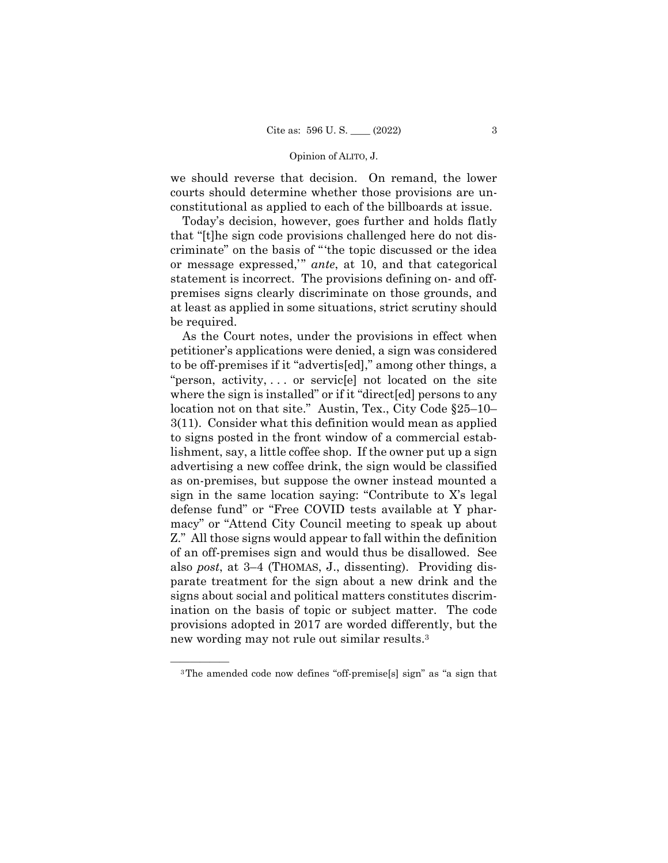#### Opinion of ALITO, J.

we should reverse that decision. On remand, the lower courts should determine whether those provisions are unconstitutional as applied to each of the billboards at issue.

Today's decision, however, goes further and holds flatly that "[t]he sign code provisions challenged here do not discriminate" on the basis of "'the topic discussed or the idea or message expressed,'" *ante*, at 10, and that categorical statement is incorrect. The provisions defining on- and offpremises signs clearly discriminate on those grounds, and at least as applied in some situations, strict scrutiny should be required.

As the Court notes, under the provisions in effect when petitioner's applications were denied, a sign was considered to be off-premises if it "advertis[ed]," among other things, a "person, activity, . . . or servic[e] not located on the site where the sign is installed" or if it "direct[ed] persons to any location not on that site." Austin, Tex., City Code §25–10– 3(11). Consider what this definition would mean as applied to signs posted in the front window of a commercial establishment, say, a little coffee shop. If the owner put up a sign advertising a new coffee drink, the sign would be classified as on-premises, but suppose the owner instead mounted a sign in the same location saying: "Contribute to X's legal defense fund" or "Free COVID tests available at Y pharmacy" or "Attend City Council meeting to speak up about Z." All those signs would appear to fall within the definition of an off-premises sign and would thus be disallowed. See also *post*, at 3–4 (THOMAS, J., dissenting). Providing disparate treatment for the sign about a new drink and the signs about social and political matters constitutes discrimination on the basis of topic or subject matter. The code provisions adopted in 2017 are worded differently, but the new wording may not rule out similar results.3

——————

<sup>3</sup>The amended code now defines "off-premise[s] sign" as "a sign that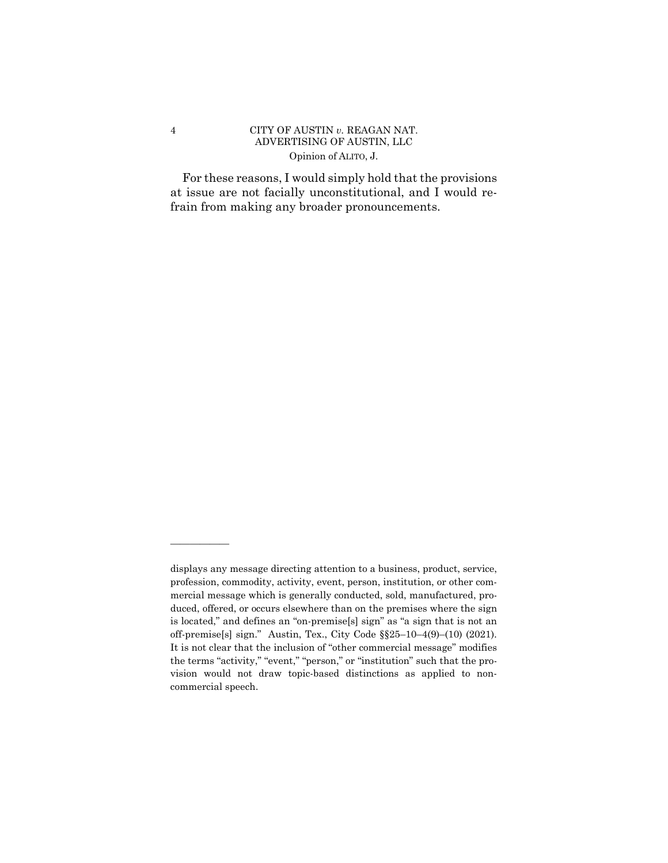## Opinion of ALITO, J. 4 CITY OF AUSTIN *v.* REAGAN NAT. ADVERTISING OF AUSTIN, LLC

For these reasons, I would simply hold that the provisions at issue are not facially unconstitutional, and I would refrain from making any broader pronouncements.

——————

off-premise[s] sign." Austin, Tex., City Code §§25-10-4(9)-(10) (2021). displays any message directing attention to a business, product, service, profession, commodity, activity, event, person, institution, or other commercial message which is generally conducted, sold, manufactured, produced, offered, or occurs elsewhere than on the premises where the sign is located," and defines an "on-premise[s] sign" as "a sign that is not an It is not clear that the inclusion of "other commercial message" modifies the terms "activity," "event," "person," or "institution" such that the provision would not draw topic-based distinctions as applied to noncommercial speech.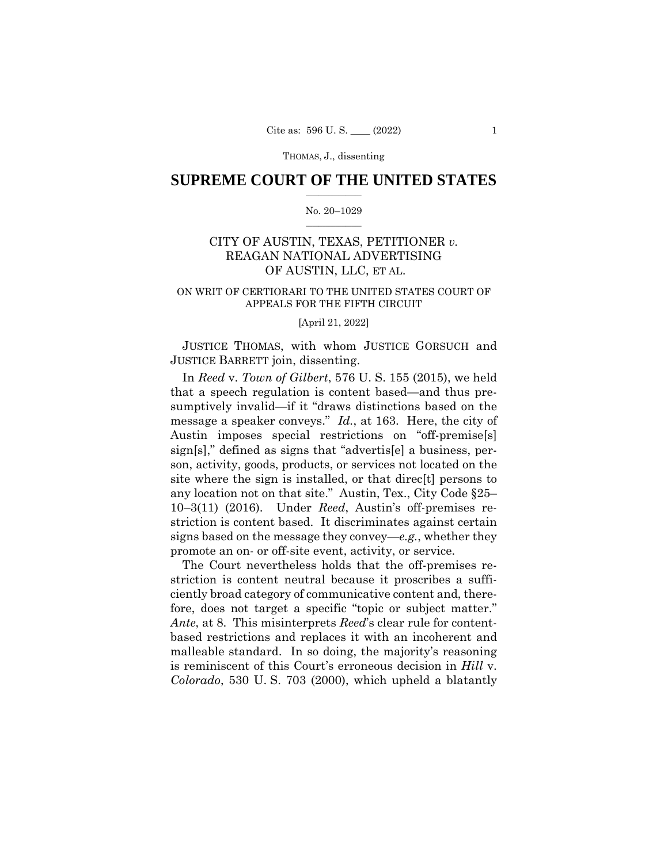### $\frac{1}{2}$  ,  $\frac{1}{2}$  ,  $\frac{1}{2}$  ,  $\frac{1}{2}$  ,  $\frac{1}{2}$  ,  $\frac{1}{2}$  ,  $\frac{1}{2}$ **SUPREME COURT OF THE UNITED STATES**

#### $\frac{1}{2}$  ,  $\frac{1}{2}$  ,  $\frac{1}{2}$  ,  $\frac{1}{2}$  ,  $\frac{1}{2}$  ,  $\frac{1}{2}$ No. 20–1029

# CITY OF AUSTIN, TEXAS, PETITIONER *v.*  REAGAN NATIONAL ADVERTISING OF AUSTIN, LLC, ET AL.

### ON WRIT OF CERTIORARI TO THE UNITED STATES COURT OF APPEALS FOR THE FIFTH CIRCUIT

#### [April 21, 2022]

JUSTICE THOMAS, with whom JUSTICE GORSUCH and JUSTICE BARRETT join, dissenting.

In *Reed* v. *Town of Gilbert*, 576 U. S. 155 (2015), we held that a speech regulation is content based—and thus presumptively invalid—if it "draws distinctions based on the message a speaker conveys." *Id.*, at 163. Here, the city of Austin imposes special restrictions on "off-premise[s] sign[s]," defined as signs that "advertis[e] a business, person, activity, goods, products, or services not located on the site where the sign is installed, or that direc[t] persons to any location not on that site." Austin, Tex., City Code §25– 10–3(11) (2016). Under *Reed*, Austin's off-premises restriction is content based. It discriminates against certain signs based on the message they convey—*e.g.*, whether they promote an on- or off-site event, activity, or service.

The Court nevertheless holds that the off-premises restriction is content neutral because it proscribes a sufficiently broad category of communicative content and, therefore, does not target a specific "topic or subject matter." *Ante*, at 8. This misinterprets *Reed*'s clear rule for contentbased restrictions and replaces it with an incoherent and malleable standard. In so doing, the majority's reasoning is reminiscent of this Court's erroneous decision in *Hill* v. *Colorado*, 530 U. S. 703 (2000), which upheld a blatantly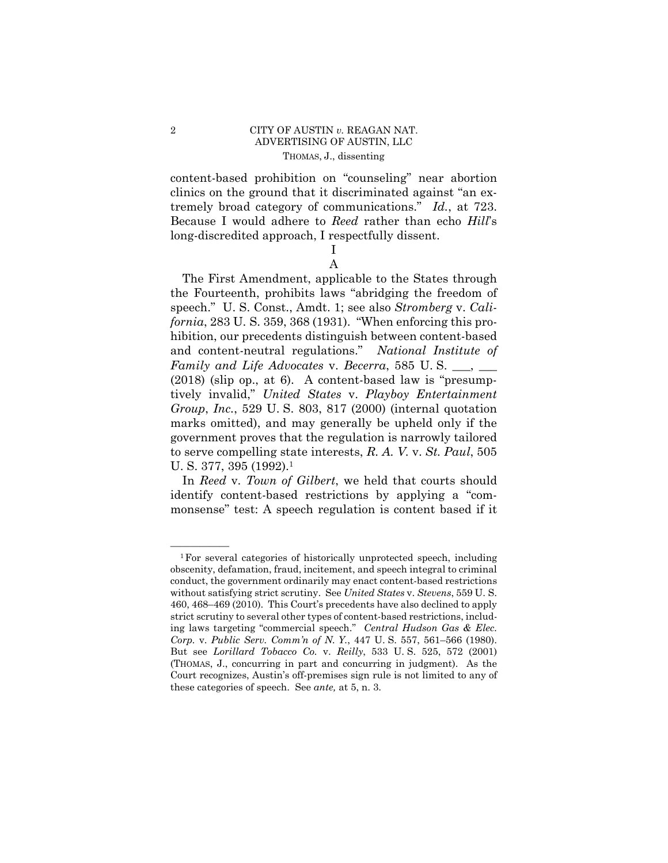## 2 CITY OF AUSTIN *v.* REAGAN NAT. ADVERTISING OF AUSTIN, LLC THOMAS, J., dissenting

content-based prohibition on "counseling" near abortion clinics on the ground that it discriminated against "an extremely broad category of communications." *Id.*, at 723. Because I would adhere to *Reed* rather than echo *Hill*'s long-discredited approach, I respectfully dissent.

> I A

The First Amendment, applicable to the States through the Fourteenth, prohibits laws "abridging the freedom of speech." U. S. Const., Amdt. 1; see also *Stromberg* v. *California*, 283 U. S. 359, 368 (1931). "When enforcing this prohibition, our precedents distinguish between content-based and content-neutral regulations." *National Institute of Family and Life Advocates* v. *Becerra*, 585 U.S. \_\_, \_\_ (2018) (slip op., at 6). A content-based law is "presumptively invalid," *United States* v. *Playboy Entertainment Group*, *Inc.*, 529 U. S. 803, 817 (2000) (internal quotation marks omitted), and may generally be upheld only if the government proves that the regulation is narrowly tailored to serve compelling state interests, *R. A. V.* v. *St. Paul*, 505 U. S. 377, 395 (1992).<sup>1</sup>

 In *Reed* v. *Town of Gilbert*, we held that courts should identify content-based restrictions by applying a "commonsense" test: A speech regulation is content based if it

 ${}^{1}$  For several categories of historically unprotected speech, including obscenity, defamation, fraud, incitement, and speech integral to criminal conduct, the government ordinarily may enact content-based restrictions without satisfying strict scrutiny. See *United States* v. *Stevens*, 559 U. S. 460, 468–469 (2010). This Court's precedents have also declined to apply strict scrutiny to several other types of content-based restrictions, including laws targeting "commercial speech." *Central Hudson Gas & Elec. Corp.* v. *Public Serv. Comm'n of N. Y.*, 447 U. S. 557, 561–566 (1980). But see *Lorillard Tobacco Co.* v. *Reilly*, 533 U. S. 525, 572 (2001) (THOMAS, J., concurring in part and concurring in judgment). As the Court recognizes, Austin's off-premises sign rule is not limited to any of these categories of speech. See *ante,* at 5, n. 3.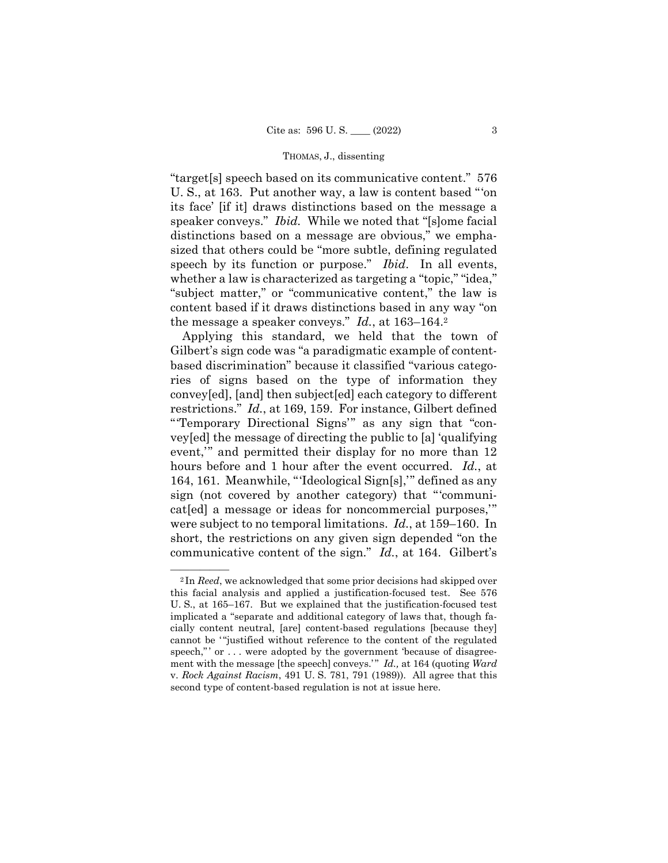"target[s] speech based on its communicative content." 576 U. S., at 163. Put another way, a law is content based "'on its face' [if it] draws distinctions based on the message a speaker conveys." *Ibid.* While we noted that "[s]ome facial distinctions based on a message are obvious," we emphasized that others could be "more subtle, defining regulated speech by its function or purpose." *Ibid*. In all events, whether a law is characterized as targeting a "topic," "idea," "subject matter," or "communicative content," the law is content based if it draws distinctions based in any way "on the message a speaker conveys." *Id.*, at 163–164.2

Applying this standard, we held that the town of Gilbert's sign code was "a paradigmatic example of contentbased discrimination" because it classified "various categories of signs based on the type of information they convey[ed], [and] then subject[ed] each category to different restrictions." *Id.*, at 169, 159. For instance, Gilbert defined "'Temporary Directional Signs'" as any sign that "convey[ed] the message of directing the public to [a] 'qualifying event," and permitted their display for no more than 12 hours before and 1 hour after the event occurred. *Id.*, at 164, 161. Meanwhile, "'Ideological Sign[s],'" defined as any sign (not covered by another category) that "'communicat[ed] a message or ideas for noncommercial purposes,'" were subject to no temporal limitations. *Id.*, at 159–160. In short, the restrictions on any given sign depended "on the communicative content of the sign." *Id.*, at 164. Gilbert's

<sup>&</sup>lt;sup>2</sup>In *Reed*, we acknowledged that some prior decisions had skipped over this facial analysis and applied a justification-focused test. See 576 U. S., at 165–167. But we explained that the justification-focused test implicated a "separate and additional category of laws that, though facially content neutral, [are] content-based regulations [because they] cannot be "justified without reference to the content of the regulated speech," or ... were adopted by the government 'because of disagreement with the message [the speech] conveys.'" *Id.*, at 164 (quoting *Ward* v. *Rock Against Racism*, 491 U. S. 781, 791 (1989)). All agree that this second type of content-based regulation is not at issue here.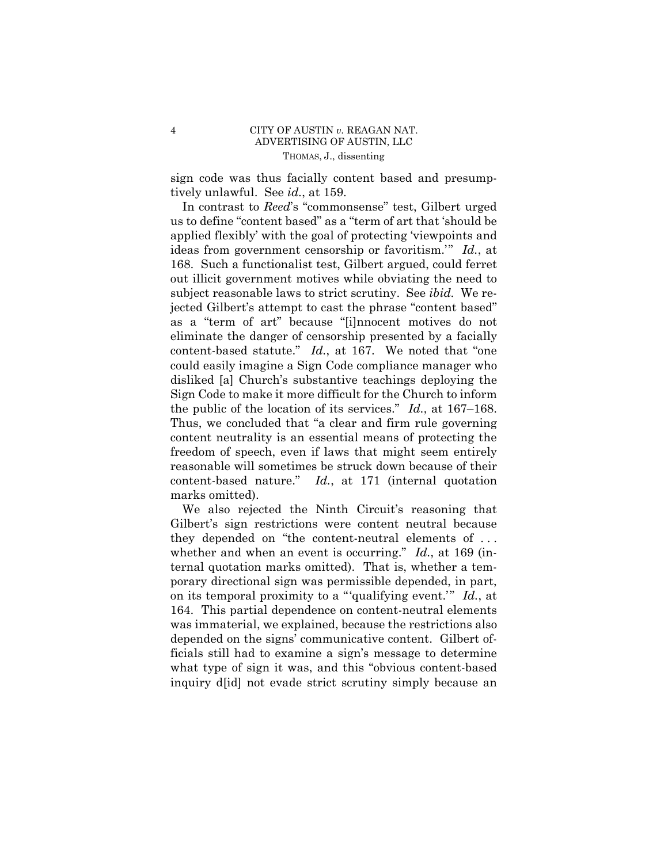## 4 CITY OF AUSTIN *v.* REAGAN NAT. ADVERTISING OF AUSTIN, LLC THOMAS, J., dissenting

sign code was thus facially content based and presumptively unlawful. See *id.*, at 159.

 In contrast to *Reed*'s "commonsense" test, Gilbert urged us to define "content based" as a "term of art that 'should be applied flexibly' with the goal of protecting 'viewpoints and ideas from government censorship or favoritism.'" *Id.*, at 168. Such a functionalist test, Gilbert argued, could ferret out illicit government motives while obviating the need to subject reasonable laws to strict scrutiny. See *ibid.* We rejected Gilbert's attempt to cast the phrase "content based" as a "term of art" because "[i]nnocent motives do not eliminate the danger of censorship presented by a facially content-based statute." *Id.*, at 167. We noted that "one could easily imagine a Sign Code compliance manager who disliked [a] Church's substantive teachings deploying the Sign Code to make it more difficult for the Church to inform the public of the location of its services." *Id.*, at 167–168. Thus, we concluded that "a clear and firm rule governing content neutrality is an essential means of protecting the freedom of speech, even if laws that might seem entirely reasonable will sometimes be struck down because of their content-based nature." *Id.*, at 171 (internal quotation marks omitted).

164. This partial dependence on content-neutral elements We also rejected the Ninth Circuit's reasoning that Gilbert's sign restrictions were content neutral because they depended on "the content-neutral elements of . . . whether and when an event is occurring." *Id.*, at 169 (internal quotation marks omitted). That is, whether a temporary directional sign was permissible depended, in part, on its temporal proximity to a "'qualifying event.'" *Id.*, at was immaterial, we explained, because the restrictions also depended on the signs' communicative content. Gilbert officials still had to examine a sign's message to determine what type of sign it was, and this "obvious content-based inquiry d[id] not evade strict scrutiny simply because an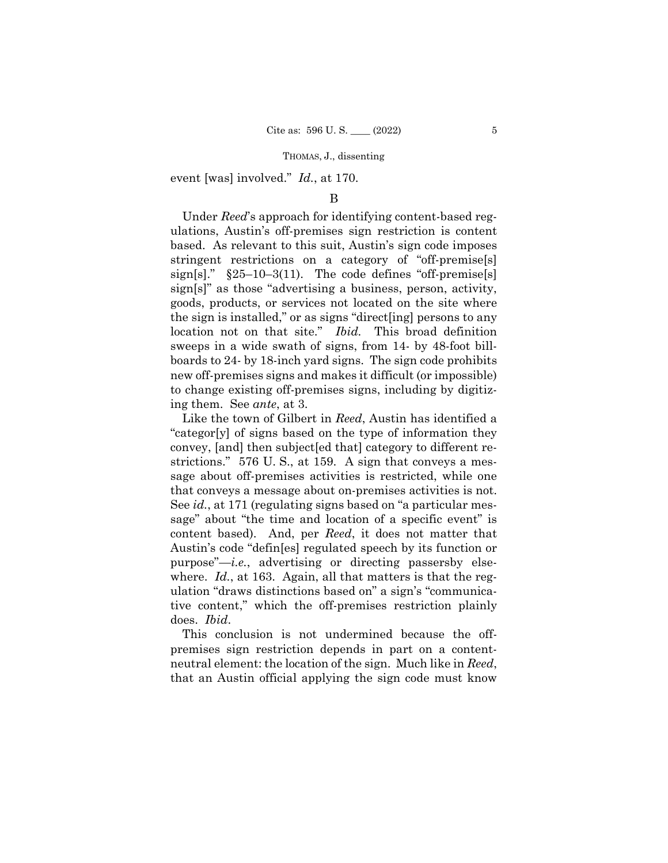event [was] involved." *Id.*, at 170.

### B

Under *Reed*'s approach for identifying content-based regulations, Austin's off-premises sign restriction is content based. As relevant to this suit, Austin's sign code imposes stringent restrictions on a category of "off-premise[s] sign[s]."  $\S25-10-3(11)$ . The code defines "off-premise[s] sign[s]" as those "advertising a business, person, activity, goods, products, or services not located on the site where the sign is installed," or as signs "direct[ing] persons to any location not on that site." *Ibid.* This broad definition sweeps in a wide swath of signs, from 14- by 48-foot billboards to 24- by 18-inch yard signs. The sign code prohibits new off-premises signs and makes it difficult (or impossible) to change existing off-premises signs, including by digitizing them. See *ante*, at 3.

Like the town of Gilbert in *Reed*, Austin has identified a "categor[y] of signs based on the type of information they convey, [and] then subject[ed that] category to different restrictions." 576 U. S., at 159. A sign that conveys a message about off-premises activities is restricted, while one that conveys a message about on-premises activities is not. See *id.*, at 171 (regulating signs based on "a particular message" about "the time and location of a specific event" is content based). And, per *Reed*, it does not matter that Austin's code "defin[es] regulated speech by its function or purpose"—*i.e.*, advertising or directing passersby elsewhere. *Id.*, at 163. Again, all that matters is that the regulation "draws distinctions based on" a sign's "communicative content," which the off-premises restriction plainly does. *Ibid*.

This conclusion is not undermined because the offpremises sign restriction depends in part on a contentneutral element: the location of the sign. Much like in *Reed*, that an Austin official applying the sign code must know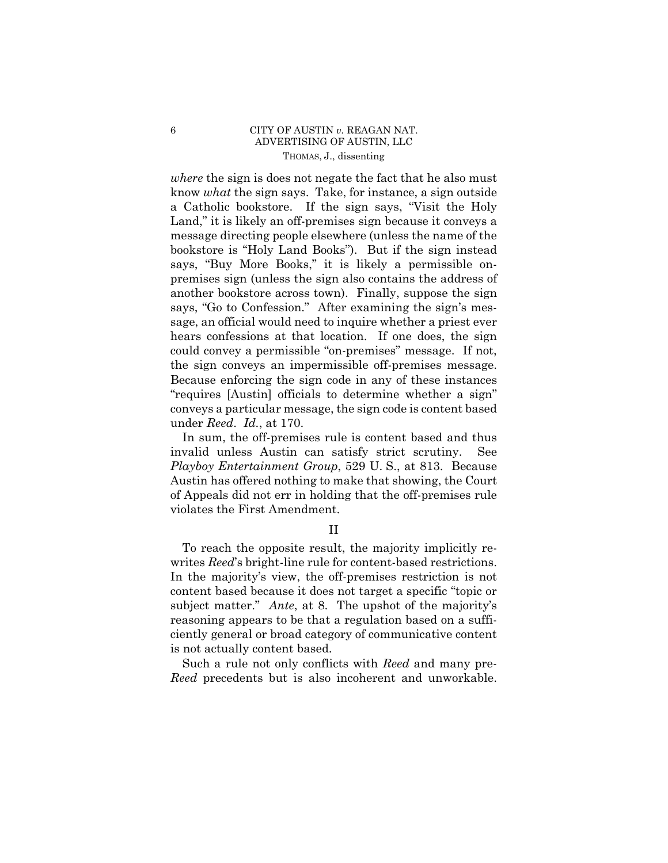## 6 CITY OF AUSTIN *v.* REAGAN NAT. ADVERTISING OF AUSTIN, LLC THOMAS, J., dissenting

 the sign conveys an impermissible off-premises message. *where* the sign is does not negate the fact that he also must know *what* the sign says. Take, for instance, a sign outside a Catholic bookstore. If the sign says, "Visit the Holy Land," it is likely an off-premises sign because it conveys a message directing people elsewhere (unless the name of the bookstore is "Holy Land Books"). But if the sign instead says, "Buy More Books," it is likely a permissible onpremises sign (unless the sign also contains the address of another bookstore across town). Finally, suppose the sign says, "Go to Confession." After examining the sign's message, an official would need to inquire whether a priest ever hears confessions at that location. If one does, the sign could convey a permissible "on-premises" message. If not, Because enforcing the sign code in any of these instances "requires [Austin] officials to determine whether a sign" conveys a particular message, the sign code is content based under *Reed*. *Id.*, at 170.

In sum, the off-premises rule is content based and thus invalid unless Austin can satisfy strict scrutiny. See *Playboy Entertainment Group*, 529 U. S., at 813. Because Austin has offered nothing to make that showing, the Court of Appeals did not err in holding that the off-premises rule violates the First Amendment.

## II

To reach the opposite result, the majority implicitly rewrites *Reed*'s bright-line rule for content-based restrictions. In the majority's view, the off-premises restriction is not content based because it does not target a specific "topic or subject matter." *Ante*, at 8. The upshot of the majority's reasoning appears to be that a regulation based on a sufficiently general or broad category of communicative content is not actually content based.

Such a rule not only conflicts with *Reed* and many pre-*Reed* precedents but is also incoherent and unworkable.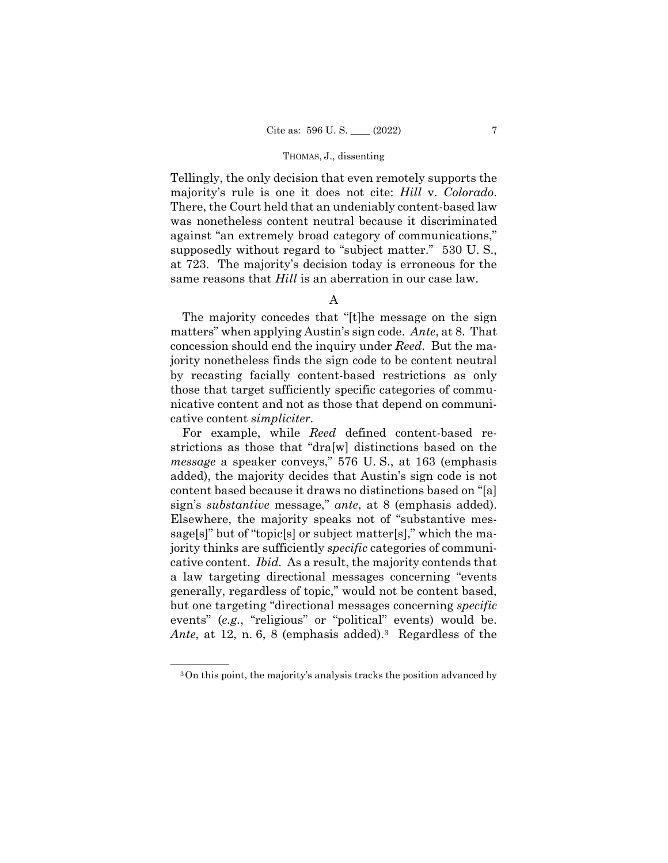Tellingly, the only decision that even remotely supports the majority's rule is one it does not cite: *Hill* v. *Colorado*. There, the Court held that an undeniably content-based law was nonetheless content neutral because it discriminated against "an extremely broad category of communications," supposedly without regard to "subject matter." 530 U. S., at 723. The majority's decision today is erroneous for the same reasons that *Hill* is an aberration in our case law.

A

The majority concedes that "[t]he message on the sign matters" when applying Austin's sign code. *Ante*, at 8. That concession should end the inquiry under *Reed*. But the majority nonetheless finds the sign code to be content neutral by recasting facially content-based restrictions as only those that target sufficiently specific categories of communicative content and not as those that depend on communicative content *simpliciter*.

For example, while *Reed* defined content-based restrictions as those that "dra[w] distinctions based on the *message* a speaker conveys," 576 U. S., at 163 (emphasis added), the majority decides that Austin's sign code is not content based because it draws no distinctions based on "[a] sign's *substantive* message," *ante*, at 8 (emphasis added). Elsewhere, the majority speaks not of "substantive message[s]" but of "topic[s] or subject matter[s]," which the majority thinks are sufficiently *specific* categories of communicative content. *Ibid.* As a result, the majority contends that a law targeting directional messages concerning "events generally, regardless of topic," would not be content based, but one targeting "directional messages concerning *specific*  events" (*e.g.*, "religious" or "political" events) would be. Ante, at 12, n. 6, 8 (emphasis added).<sup>3</sup> Regardless of the

<sup>&</sup>lt;sup>3</sup>On this point, the majority's analysis tracks the position advanced by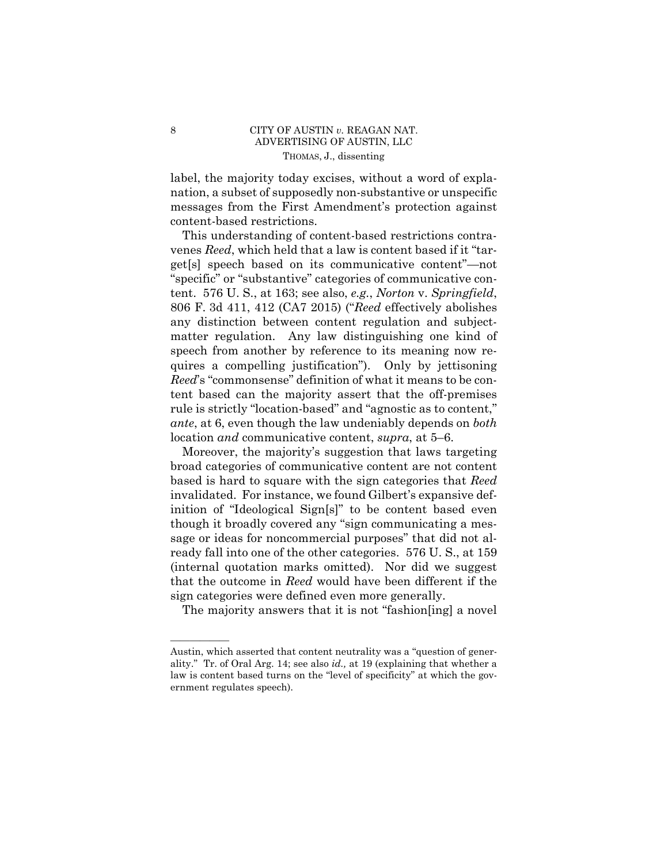## 8 CITY OF AUSTIN *v.* REAGAN NAT. ADVERTISING OF AUSTIN, LLC THOMAS, J., dissenting

label, the majority today excises, without a word of explanation, a subset of supposedly non-substantive or unspecific messages from the First Amendment's protection against content-based restrictions.

This understanding of content-based restrictions contravenes *Reed*, which held that a law is content based if it "target[s] speech based on its communicative content"—not "specific" or "substantive" categories of communicative content. 576 U. S., at 163; see also, *e.g.*, *Norton* v. *Springfield*, 806 F. 3d 411, 412 (CA7 2015) ("*Reed* effectively abolishes any distinction between content regulation and subjectmatter regulation. Any law distinguishing one kind of speech from another by reference to its meaning now requires a compelling justification"). Only by jettisoning *Reed*'s "commonsense" definition of what it means to be content based can the majority assert that the off-premises rule is strictly "location-based" and "agnostic as to content," *ante*, at 6, even though the law undeniably depends on *both*  location *and* communicative content, *supra*, at 5–6.

Moreover, the majority's suggestion that laws targeting broad categories of communicative content are not content based is hard to square with the sign categories that *Reed*  invalidated. For instance, we found Gilbert's expansive definition of "Ideological Sign[s]" to be content based even though it broadly covered any "sign communicating a message or ideas for noncommercial purposes" that did not already fall into one of the other categories. 576 U. S., at 159 (internal quotation marks omitted). Nor did we suggest that the outcome in *Reed* would have been different if the sign categories were defined even more generally.

The majority answers that it is not "fashion[ing] a novel

——————

Austin, which asserted that content neutrality was a "question of generality." Tr. of Oral Arg. 14; see also *id.,* at 19 (explaining that whether a law is content based turns on the "level of specificity" at which the government regulates speech).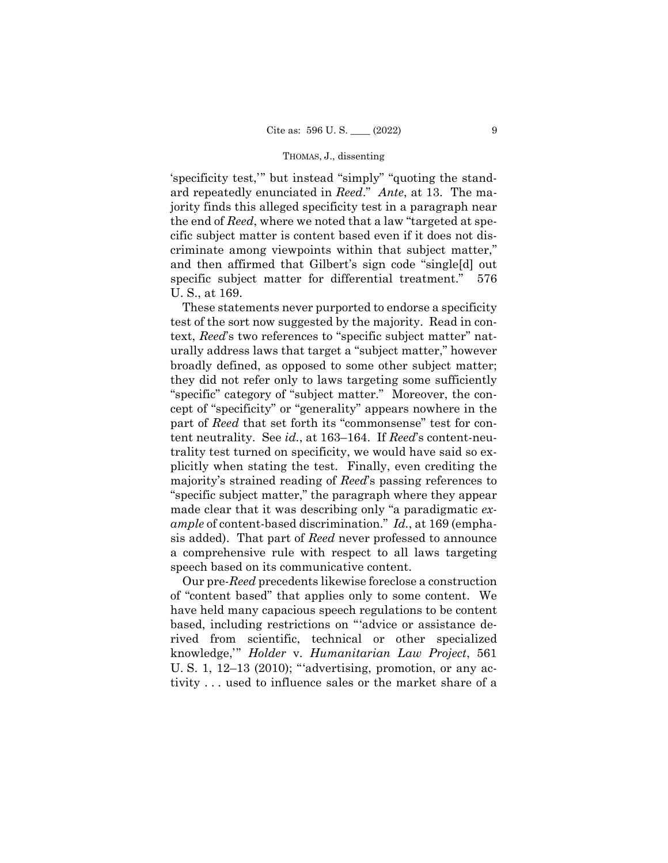ard repeatedly enunciated in *Reed*." *Ante*, at 13. The ma-'specificity test,'" but instead "simply" "quoting the standjority finds this alleged specificity test in a paragraph near the end of *Reed*, where we noted that a law "targeted at specific subject matter is content based even if it does not discriminate among viewpoints within that subject matter," and then affirmed that Gilbert's sign code "single[d] out specific subject matter for differential treatment." 576 U. S., at 169.

These statements never purported to endorse a specificity test of the sort now suggested by the majority. Read in context, *Reed*'s two references to "specific subject matter" naturally address laws that target a "subject matter," however broadly defined, as opposed to some other subject matter; they did not refer only to laws targeting some sufficiently "specific" category of "subject matter." Moreover, the concept of "specificity" or "generality" appears nowhere in the part of *Reed* that set forth its "commonsense" test for content neutrality. See *id.*, at 163–164. If *Reed*'s content-neutrality test turned on specificity, we would have said so explicitly when stating the test. Finally, even crediting the majority's strained reading of *Reed*'s passing references to "specific subject matter," the paragraph where they appear made clear that it was describing only "a paradigmatic *example* of content-based discrimination." *Id.*, at 169 (emphasis added). That part of *Reed* never professed to announce a comprehensive rule with respect to all laws targeting speech based on its communicative content.

 Our pre-*Reed* precedents likewise foreclose a construction of "content based" that applies only to some content. We have held many capacious speech regulations to be content based, including restrictions on "'advice or assistance derived from scientific, technical or other specialized knowledge,'" *Holder* v. *Humanitarian Law Project*, 561 U. S. 1, 12–13 (2010); "'advertising, promotion, or any activity . . . used to influence sales or the market share of a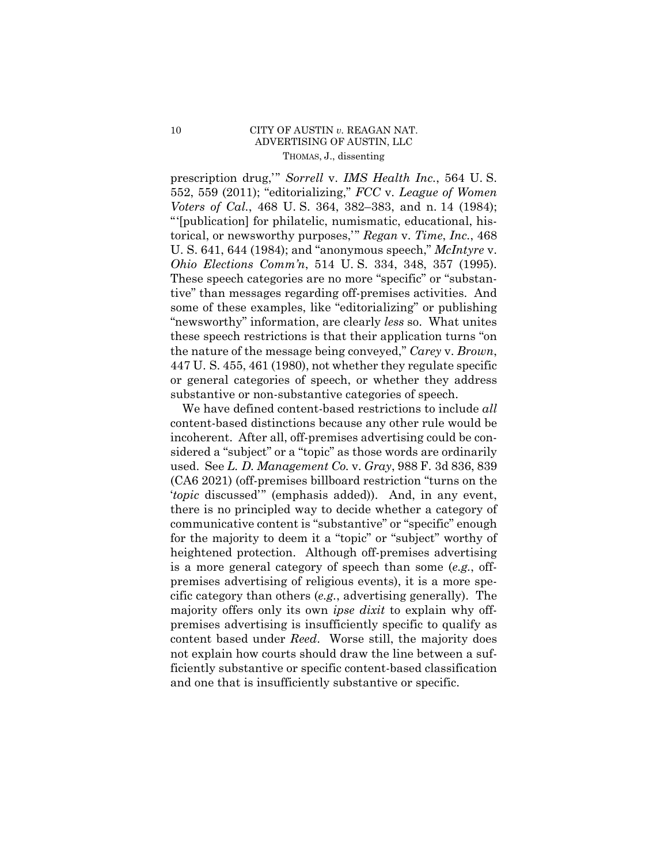## 10 CITY OF AUSTIN *v*. REAGAN NAT. ADVERTISING OF AUSTIN, LLC THOMAS, J., dissenting

 *Ohio Elections Comm'n*, 514 U. S. 334, 348, 357 (1995). prescription drug,'" *Sorrell* v. *IMS Health Inc.*, 564 U. S. 552, 559 (2011); "editorializing," *FCC* v. *League of Women Voters of Cal.*, 468 U. S. 364, 382–383, and n. 14 (1984); "'[publication] for philatelic, numismatic, educational, historical, or newsworthy purposes,'" *Regan* v. *Time*, *Inc.*, 468 U. S. 641, 644 (1984); and "anonymous speech," *McIntyre* v. These speech categories are no more "specific" or "substantive" than messages regarding off-premises activities. And some of these examples, like "editorializing" or publishing "newsworthy" information, are clearly *less* so. What unites these speech restrictions is that their application turns "on the nature of the message being conveyed," *Carey* v. *Brown*, 447 U. S. 455, 461 (1980), not whether they regulate specific or general categories of speech, or whether they address substantive or non-substantive categories of speech.

We have defined content-based restrictions to include *all*  content-based distinctions because any other rule would be incoherent. After all, off-premises advertising could be considered a "subject" or a "topic" as those words are ordinarily used. See *L. D. Management Co.* v. *Gray*, 988 F. 3d 836, 839 (CA6 2021) (off-premises billboard restriction "turns on the '*topic* discussed'" (emphasis added)). And, in any event, there is no principled way to decide whether a category of communicative content is "substantive" or "specific" enough for the majority to deem it a "topic" or "subject" worthy of heightened protection. Although off-premises advertising is a more general category of speech than some (*e.g.*, offpremises advertising of religious events), it is a more specific category than others (*e.g.*, advertising generally). The majority offers only its own *ipse dixit* to explain why offpremises advertising is insufficiently specific to qualify as content based under *Reed*. Worse still, the majority does not explain how courts should draw the line between a sufficiently substantive or specific content-based classification and one that is insufficiently substantive or specific.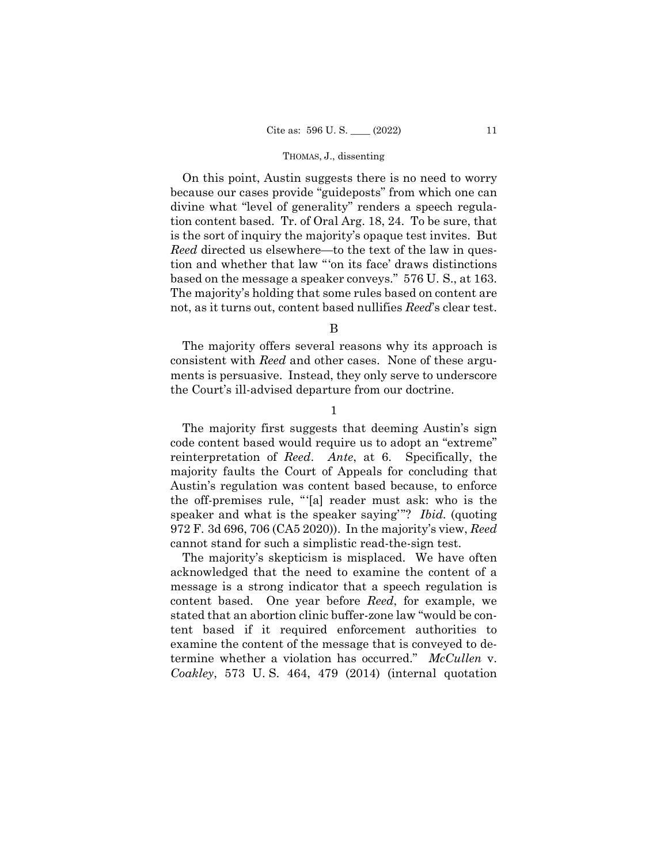On this point, Austin suggests there is no need to worry because our cases provide "guideposts" from which one can divine what "level of generality" renders a speech regulation content based. Tr. of Oral Arg. 18, 24. To be sure, that is the sort of inquiry the majority's opaque test invites. But *Reed* directed us elsewhere—to the text of the law in question and whether that law "'on its face' draws distinctions based on the message a speaker conveys." 576 U. S., at 163. The majority's holding that some rules based on content are not, as it turns out, content based nullifies *Reed*'s clear test.

B

The majority offers several reasons why its approach is consistent with *Reed* and other cases. None of these arguments is persuasive. Instead, they only serve to underscore the Court's ill-advised departure from our doctrine.

1

 speaker and what is the speaker saying'"? *Ibid.* (quoting The majority first suggests that deeming Austin's sign code content based would require us to adopt an "extreme" reinterpretation of *Reed*. *Ante*, at 6. Specifically, the majority faults the Court of Appeals for concluding that Austin's regulation was content based because, to enforce the off-premises rule, "'[a] reader must ask: who is the 972 F. 3d 696, 706 (CA5 2020)). In the majority's view, *Reed*  cannot stand for such a simplistic read-the-sign test.

The majority's skepticism is misplaced. We have often acknowledged that the need to examine the content of a message is a strong indicator that a speech regulation is content based. One year before *Reed*, for example, we stated that an abortion clinic buffer-zone law "would be content based if it required enforcement authorities to examine the content of the message that is conveyed to determine whether a violation has occurred." *McCullen* v. *Coakley*, 573 U. S. 464, 479 (2014) (internal quotation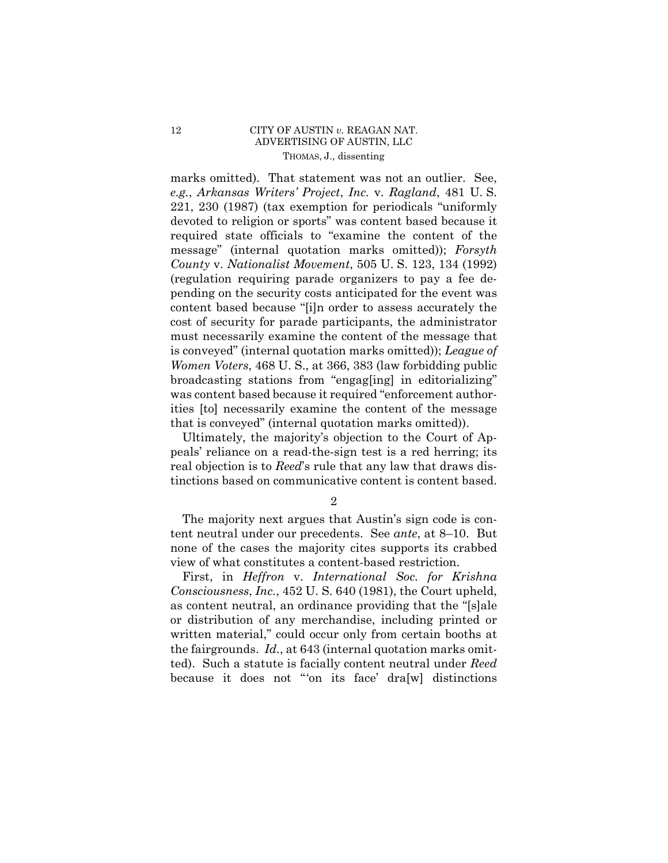### 12 CITY OF AUSTIN *v.* REAGAN NAT. ADVERTISING OF AUSTIN, LLC THOMAS, J., dissenting

marks omitted). That statement was not an outlier. See, *e.g.*, *Arkansas Writers' Project*, *Inc.* v. *Ragland*, 481 U. S. 221, 230 (1987) (tax exemption for periodicals "uniformly devoted to religion or sports" was content based because it required state officials to "examine the content of the message" (internal quotation marks omitted)); *Forsyth County* v. *Nationalist Movement*, 505 U. S. 123, 134 (1992) (regulation requiring parade organizers to pay a fee depending on the security costs anticipated for the event was content based because "[i]n order to assess accurately the cost of security for parade participants, the administrator must necessarily examine the content of the message that is conveyed" (internal quotation marks omitted)); *League of Women Voters*, 468 U. S., at 366, 383 (law forbidding public broadcasting stations from "engag[ing] in editorializing" was content based because it required "enforcement authorities [to] necessarily examine the content of the message that is conveyed" (internal quotation marks omitted)).

Ultimately, the majority's objection to the Court of Appeals' reliance on a read-the-sign test is a red herring; its real objection is to *Reed*'s rule that any law that draws distinctions based on communicative content is content based.

2

The majority next argues that Austin's sign code is content neutral under our precedents. See *ante*, at 8–10. But none of the cases the majority cites supports its crabbed view of what constitutes a content-based restriction.

First, in *Heffron* v. *International Soc. for Krishna Consciousness*, *Inc.*, 452 U. S. 640 (1981), the Court upheld, as content neutral, an ordinance providing that the "[s]ale or distribution of any merchandise, including printed or written material," could occur only from certain booths at the fairgrounds. *Id.*, at 643 (internal quotation marks omitted). Such a statute is facially content neutral under *Reed*  because it does not "'on its face' dra[w] distinctions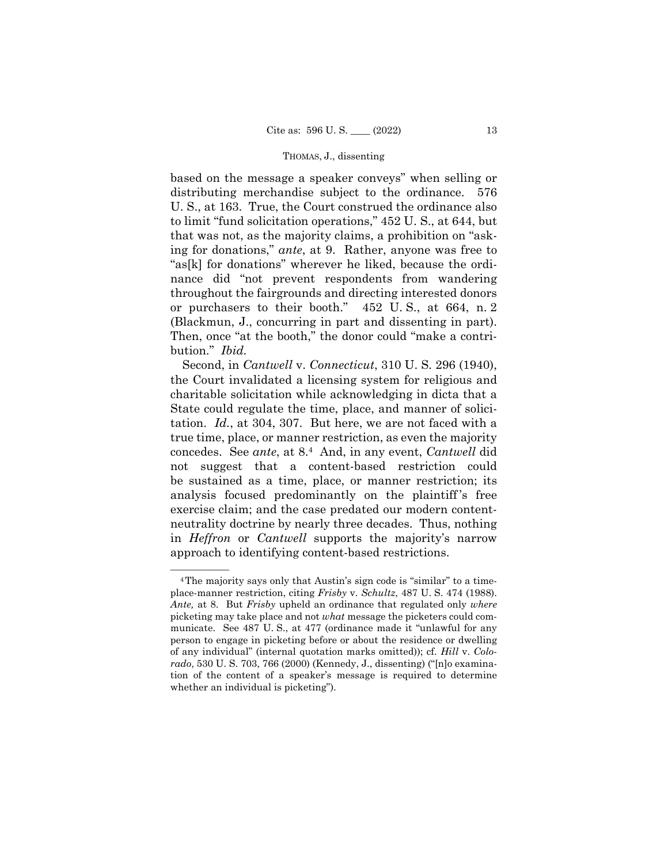based on the message a speaker conveys" when selling or distributing merchandise subject to the ordinance. 576 U. S., at 163. True, the Court construed the ordinance also to limit "fund solicitation operations," 452 U. S., at 644, but that was not, as the majority claims, a prohibition on "asking for donations," *ante*, at 9. Rather, anyone was free to "as[k] for donations" wherever he liked, because the ordinance did "not prevent respondents from wandering throughout the fairgrounds and directing interested donors or purchasers to their booth." 452 U. S., at 664, n. 2 (Blackmun, J., concurring in part and dissenting in part). Then, once "at the booth," the donor could "make a contribution." *Ibid.*

 concedes. See *ante*, at 8.4 And, in any event, *Cantwell* did Second, in *Cantwell* v. *Connecticut*, 310 U. S. 296 (1940), the Court invalidated a licensing system for religious and charitable solicitation while acknowledging in dicta that a State could regulate the time, place, and manner of solicitation. *Id.*, at 304, 307. But here, we are not faced with a true time, place, or manner restriction, as even the majority not suggest that a content-based restriction could be sustained as a time, place, or manner restriction; its analysis focused predominantly on the plaintiff 's free exercise claim; and the case predated our modern contentneutrality doctrine by nearly three decades. Thus, nothing in *Heffron* or *Cantwell* supports the majority's narrow approach to identifying content-based restrictions.

<sup>&</sup>lt;sup>4</sup>The majority says only that Austin's sign code is "similar" to a timeplace-manner restriction, citing *Frisby* v. *Schultz*, 487 U. S. 474 (1988). *Ante,* at 8. But *Frisby* upheld an ordinance that regulated only *where*  picketing may take place and not *what* message the picketers could communicate. See 487 U. S., at 477 (ordinance made it "unlawful for any person to engage in picketing before or about the residence or dwelling of any individual" (internal quotation marks omitted)); cf. *Hill* v. *Colorado*, 530 U. S. 703, 766 (2000) (Kennedy, J., dissenting) ("[n]o examination of the content of a speaker's message is required to determine whether an individual is picketing").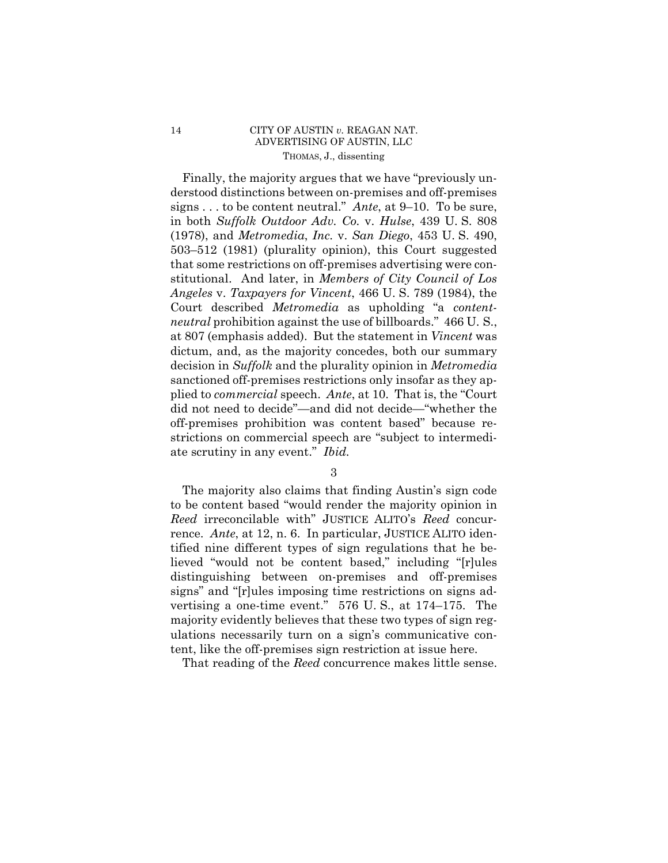## 14 CITY OF AUSTIN *v.* REAGAN NAT. ADVERTISING OF AUSTIN, LLC THOMAS, J., dissenting

Finally, the majority argues that we have "previously understood distinctions between on-premises and off-premises signs . . . to be content neutral." *Ante*, at 9–10. To be sure, in both *Suffolk Outdoor Adv. Co.* v. *Hulse*, 439 U. S. 808 (1978), and *Metromedia*, *Inc.* v. *San Diego*, 453 U. S. 490, 503–512 (1981) (plurality opinion), this Court suggested that some restrictions on off-premises advertising were constitutional. And later, in *Members of City Council of Los Angeles* v. *Taxpayers for Vincent*, 466 U. S. 789 (1984), the Court described *Metromedia* as upholding "a *contentneutral* prohibition against the use of billboards." 466 U. S., at 807 (emphasis added). But the statement in *Vincent* was dictum, and, as the majority concedes, both our summary decision in *Suffolk* and the plurality opinion in *Metromedia*  sanctioned off-premises restrictions only insofar as they applied to *commercial* speech. *Ante*, at 10. That is, the "Court did not need to decide"—and did not decide—"whether the off-premises prohibition was content based" because restrictions on commercial speech are "subject to intermediate scrutiny in any event." *Ibid.* 

3

The majority also claims that finding Austin's sign code to be content based "would render the majority opinion in *Reed* irreconcilable with" JUSTICE ALITO's *Reed* concurrence. *Ante*, at 12, n. 6. In particular, JUSTICE ALITO identified nine different types of sign regulations that he believed "would not be content based," including "[r]ules distinguishing between on-premises and off-premises signs" and "[r]ules imposing time restrictions on signs advertising a one-time event." 576 U. S., at 174–175. The majority evidently believes that these two types of sign regulations necessarily turn on a sign's communicative content, like the off-premises sign restriction at issue here.

That reading of the *Reed* concurrence makes little sense.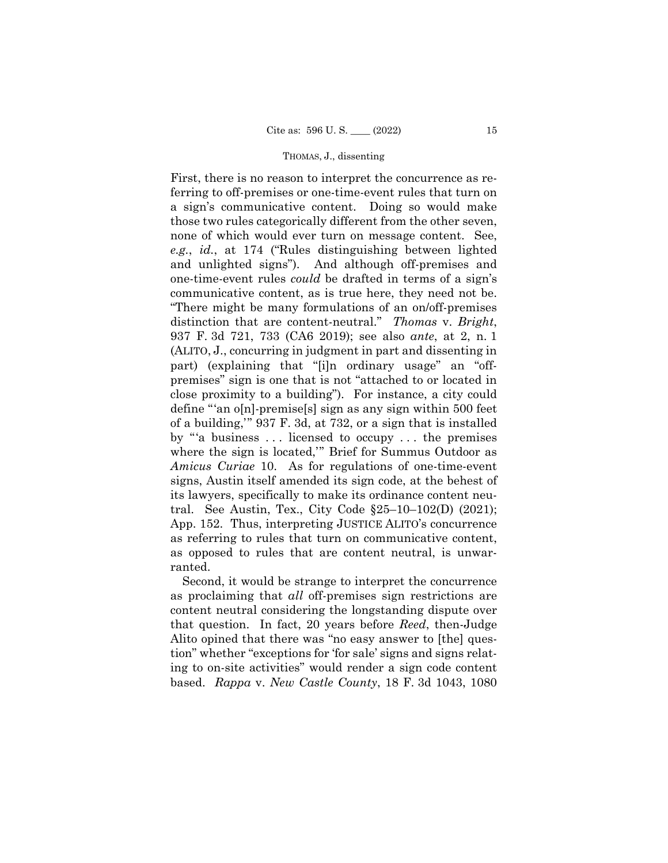First, there is no reason to interpret the concurrence as referring to off-premises or one-time-event rules that turn on a sign's communicative content. Doing so would make those two rules categorically different from the other seven, none of which would ever turn on message content. See, *e.g.*, *id.*, at 174 ("Rules distinguishing between lighted and unlighted signs"). And although off-premises and one-time-event rules *could* be drafted in terms of a sign's communicative content, as is true here, they need not be. "There might be many formulations of an on/off-premises distinction that are content-neutral." *Thomas* v. *Bright*, 937 F. 3d 721, 733 (CA6 2019); see also *ante*, at 2, n. 1 (ALITO, J., concurring in judgment in part and dissenting in part) (explaining that "[i]n ordinary usage" an "offpremises" sign is one that is not "attached to or located in close proximity to a building"). For instance, a city could define "'an o[n]-premise[s] sign as any sign within 500 feet of a building,'" 937 F. 3d, at 732, or a sign that is installed by "'a business . . . licensed to occupy . . . the premises where the sign is located,'" Brief for Summus Outdoor as *Amicus Curiae* 10. As for regulations of one-time-event signs, Austin itself amended its sign code, at the behest of its lawyers, specifically to make its ordinance content neutral. See Austin, Tex., City Code §25–10–102(D) (2021); App. 152. Thus, interpreting JUSTICE ALITO's concurrence as referring to rules that turn on communicative content, as opposed to rules that are content neutral, is unwarranted.

Second, it would be strange to interpret the concurrence as proclaiming that *all* off-premises sign restrictions are content neutral considering the longstanding dispute over that question. In fact, 20 years before *Reed*, then-Judge Alito opined that there was "no easy answer to [the] question" whether "exceptions for 'for sale' signs and signs relating to on-site activities" would render a sign code content based. *Rappa* v. *New Castle County*, 18 F. 3d 1043, 1080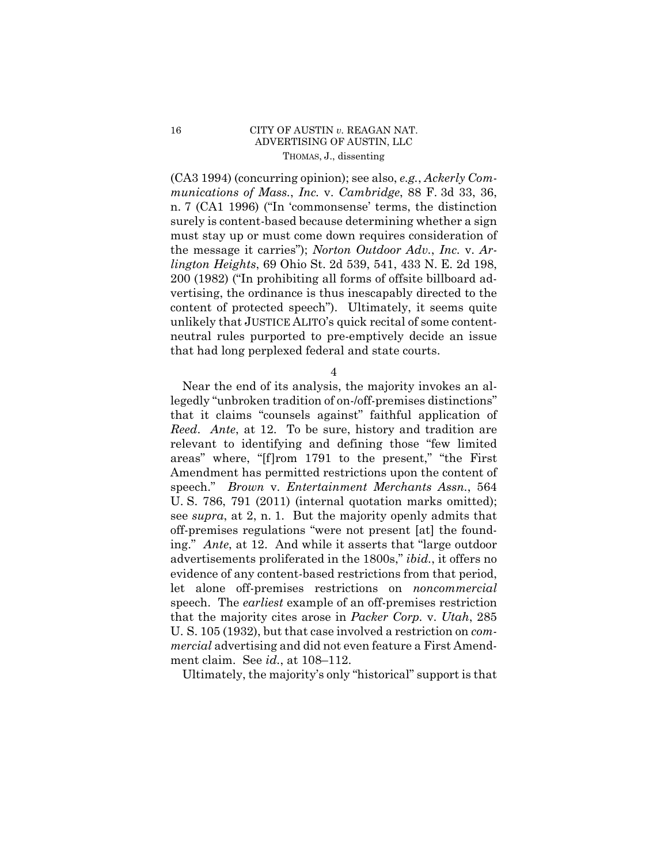## 16 CITY OF AUSTIN *v.* REAGAN NAT. ADVERTISING OF AUSTIN, LLC THOMAS, J., dissenting

(CA3 1994) (concurring opinion); see also, *e.g.*, *Ackerly Communications of Mass.*, *Inc.* v. *Cambridge*, 88 F. 3d 33, 36, n. 7 (CA1 1996) ("In 'commonsense' terms, the distinction surely is content-based because determining whether a sign must stay up or must come down requires consideration of the message it carries"); *Norton Outdoor Adv.*, *Inc.* v. *Arlington Heights*, 69 Ohio St. 2d 539, 541, 433 N. E. 2d 198, 200 (1982) ("In prohibiting all forms of offsite billboard advertising, the ordinance is thus inescapably directed to the content of protected speech"). Ultimately, it seems quite unlikely that JUSTICE ALITO's quick recital of some contentneutral rules purported to pre-emptively decide an issue that had long perplexed federal and state courts.

4

Near the end of its analysis, the majority invokes an allegedly "unbroken tradition of on-/off-premises distinctions" that it claims "counsels against" faithful application of *Reed*. *Ante*, at 12. To be sure, history and tradition are relevant to identifying and defining those "few limited areas" where, "[f]rom 1791 to the present," "the First Amendment has permitted restrictions upon the content of speech." *Brown* v. *Entertainment Merchants Assn.*, 564 U. S. 786, 791 (2011) (internal quotation marks omitted); see *supra*, at 2, n. 1. But the majority openly admits that off-premises regulations "were not present [at] the founding." *Ante*, at 12. And while it asserts that "large outdoor advertisements proliferated in the 1800s," *ibid.*, it offers no evidence of any content-based restrictions from that period, let alone off-premises restrictions on *noncommercial*  speech. The *earliest* example of an off-premises restriction that the majority cites arose in *Packer Corp.* v. *Utah*, 285 U. S. 105 (1932), but that case involved a restriction on *commercial* advertising and did not even feature a First Amendment claim. See *id.*, at 108–112.

Ultimately, the majority's only "historical" support is that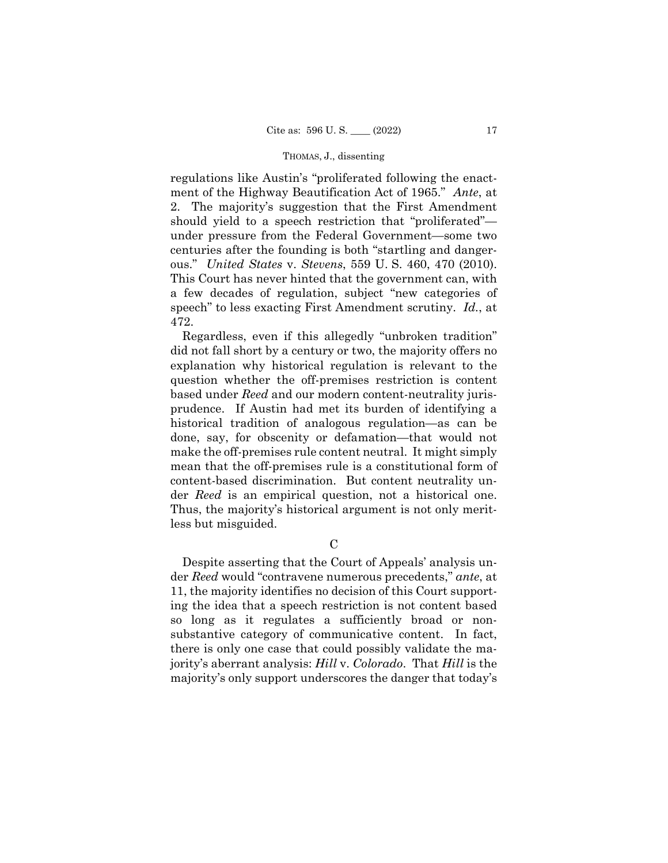regulations like Austin's "proliferated following the enactment of the Highway Beautification Act of 1965." *Ante*, at 2. The majority's suggestion that the First Amendment should yield to a speech restriction that "proliferated" under pressure from the Federal Government—some two centuries after the founding is both "startling and dangerous." *United States* v. *Stevens*, 559 U. S. 460, 470 (2010). This Court has never hinted that the government can, with a few decades of regulation, subject "new categories of speech" to less exacting First Amendment scrutiny. *Id.*, at 472.

 der *Reed* is an empirical question, not a historical one. Regardless, even if this allegedly "unbroken tradition" did not fall short by a century or two, the majority offers no explanation why historical regulation is relevant to the question whether the off-premises restriction is content based under *Reed* and our modern content-neutrality jurisprudence. If Austin had met its burden of identifying a historical tradition of analogous regulation—as can be done, say, for obscenity or defamation—that would not make the off-premises rule content neutral. It might simply mean that the off-premises rule is a constitutional form of content-based discrimination. But content neutrality un-Thus, the majority's historical argument is not only meritless but misguided.

C

Despite asserting that the Court of Appeals' analysis under *Reed* would "contravene numerous precedents," *ante*, at 11, the majority identifies no decision of this Court supporting the idea that a speech restriction is not content based so long as it regulates a sufficiently broad or nonsubstantive category of communicative content. In fact, there is only one case that could possibly validate the majority's aberrant analysis: *Hill* v. *Colorado*. That *Hill* is the majority's only support underscores the danger that today's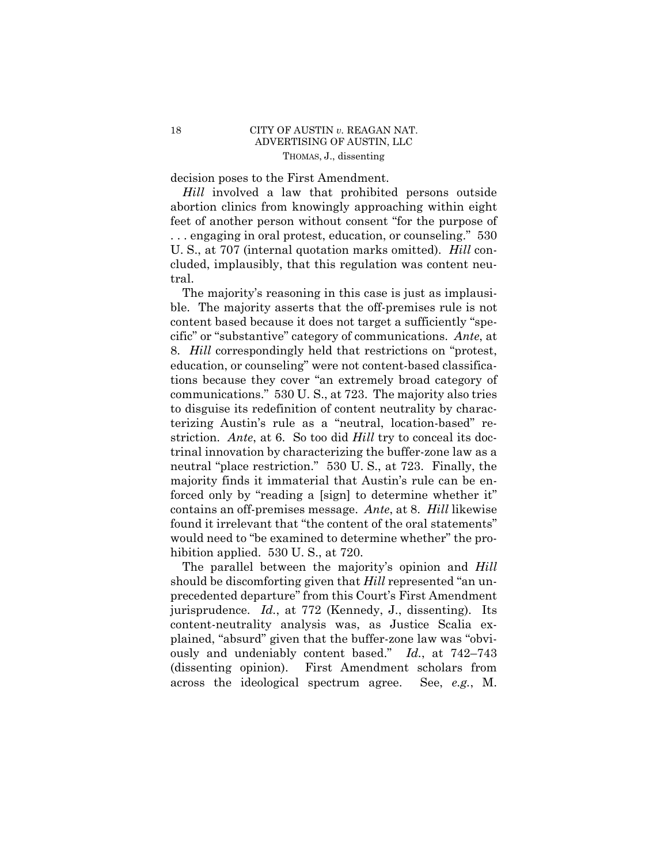decision poses to the First Amendment.

*Hill* involved a law that prohibited persons outside abortion clinics from knowingly approaching within eight feet of another person without consent "for the purpose of . . . engaging in oral protest, education, or counseling." 530 U. S., at 707 (internal quotation marks omitted). *Hill* concluded, implausibly, that this regulation was content neutral.

 communications." 530 U. S., at 723. The majority also tries The majority's reasoning in this case is just as implausible. The majority asserts that the off-premises rule is not content based because it does not target a sufficiently "specific" or "substantive" category of communications. *Ante*, at 8. *Hill* correspondingly held that restrictions on "protest, education, or counseling" were not content-based classifications because they cover "an extremely broad category of to disguise its redefinition of content neutrality by characterizing Austin's rule as a "neutral, location-based" restriction. *Ante*, at 6. So too did *Hill* try to conceal its doctrinal innovation by characterizing the buffer-zone law as a neutral "place restriction." 530 U. S., at 723. Finally, the majority finds it immaterial that Austin's rule can be enforced only by "reading a [sign] to determine whether it" contains an off-premises message. *Ante*, at 8. *Hill* likewise found it irrelevant that "the content of the oral statements" would need to "be examined to determine whether" the prohibition applied. 530 U. S., at 720.

The parallel between the majority's opinion and *Hill*  should be discomforting given that *Hill* represented "an unprecedented departure" from this Court's First Amendment jurisprudence. *Id.*, at 772 (Kennedy, J., dissenting). Its content-neutrality analysis was, as Justice Scalia explained, "absurd" given that the buffer-zone law was "obviously and undeniably content based." *Id.*, at 742–743 (dissenting opinion). First Amendment scholars from across the ideological spectrum agree. See, *e.g.*, M.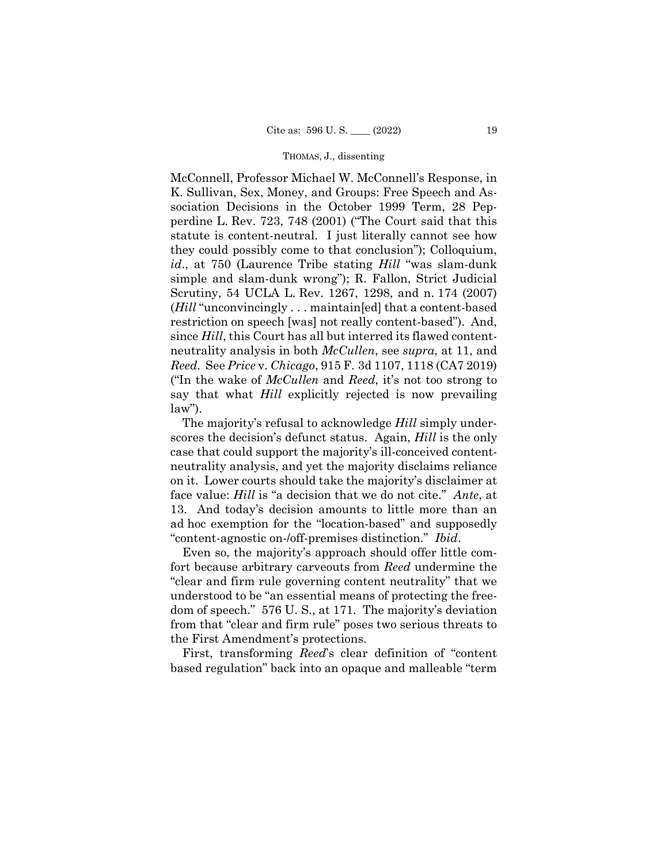McConnell, Professor Michael W. McConnell's Response, in K. Sullivan, Sex, Money, and Groups: Free Speech and Association Decisions in the October 1999 Term, 28 Pepperdine L. Rev. 723, 748 (2001) ("The Court said that this statute is content-neutral. I just literally cannot see how they could possibly come to that conclusion"); Colloquium, *id*., at 750 (Laurence Tribe stating *Hill* "was slam-dunk simple and slam-dunk wrong"); R. Fallon, Strict Judicial Scrutiny, 54 UCLA L. Rev. 1267, 1298, and n. 174 (2007) (*Hill* "unconvincingly . . . maintain[ed] that a content-based restriction on speech [was] not really content-based"). And, since *Hill*, this Court has all but interred its flawed contentneutrality analysis in both *McCullen*, see *supra*, at 11, and *Reed*. See *Price* v. *Chicago*, 915 F. 3d 1107, 1118 (CA7 2019) ("In the wake of *McCullen* and *Reed*, it's not too strong to say that what *Hill* explicitly rejected is now prevailing  $law$ ").

The majority's refusal to acknowledge *Hill* simply underscores the decision's defunct status. Again, *Hill* is the only case that could support the majority's ill-conceived contentneutrality analysis, and yet the majority disclaims reliance on it. Lower courts should take the majority's disclaimer at face value: *Hill* is "a decision that we do not cite." *Ante*, at 13. And today's decision amounts to little more than an ad hoc exemption for the "location-based" and supposedly "content-agnostic on-/off-premises distinction." *Ibid*.

Even so, the majority's approach should offer little comfort because arbitrary carveouts from *Reed* undermine the "clear and firm rule governing content neutrality" that we understood to be "an essential means of protecting the freedom of speech." 576 U. S., at 171. The majority's deviation from that "clear and firm rule" poses two serious threats to the First Amendment's protections.

First, transforming *Reed*'s clear definition of "content based regulation" back into an opaque and malleable "term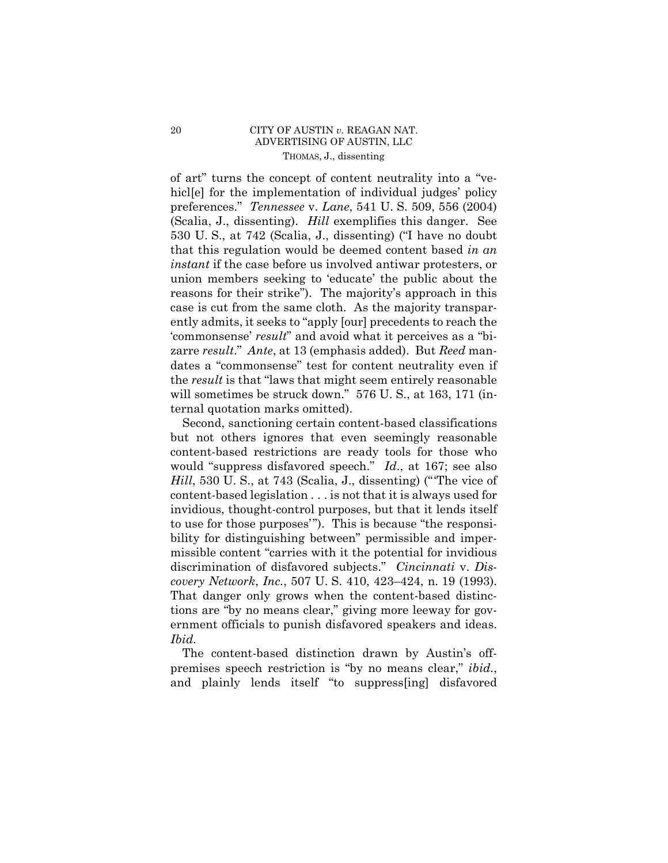## 20 CITY OF AUSTIN *v.* REAGAN NAT. ADVERTISING OF AUSTIN, LLC THOMAS, J., dissenting

 zarre *result*." *Ante*, at 13 (emphasis added). But *Reed* manof art" turns the concept of content neutrality into a "vehicle for the implementation of individual judges' policy preferences." *Tennessee* v. *Lane*, 541 U. S. 509, 556 (2004) (Scalia, J., dissenting). *Hill* exemplifies this danger. See 530 U. S., at 742 (Scalia, J., dissenting) ("I have no doubt that this regulation would be deemed content based *in an instant* if the case before us involved antiwar protesters, or union members seeking to 'educate' the public about the reasons for their strike"). The majority's approach in this case is cut from the same cloth. As the majority transparently admits, it seeks to "apply [our] precedents to reach the 'commonsense' *result*" and avoid what it perceives as a "bidates a "commonsense" test for content neutrality even if the *result* is that "laws that might seem entirely reasonable will sometimes be struck down." 576 U. S., at 163, 171 (internal quotation marks omitted).

 *covery Network*, *Inc.*, 507 U. S. 410, 423–424, n. 19 (1993). Second, sanctioning certain content-based classifications but not others ignores that even seemingly reasonable content-based restrictions are ready tools for those who would "suppress disfavored speech." *Id*., at 167; see also *Hill*, 530 U. S., at 743 (Scalia, J., dissenting) ("'The vice of content-based legislation . . . is not that it is always used for invidious, thought-control purposes, but that it lends itself to use for those purposes'"). This is because "the responsibility for distinguishing between" permissible and impermissible content "carries with it the potential for invidious discrimination of disfavored subjects." *Cincinnati* v. *Dis-*That danger only grows when the content-based distinctions are "by no means clear," giving more leeway for government officials to punish disfavored speakers and ideas. *Ibid.* 

The content-based distinction drawn by Austin's offpremises speech restriction is "by no means clear," *ibid.*, and plainly lends itself "to suppress[ing] disfavored